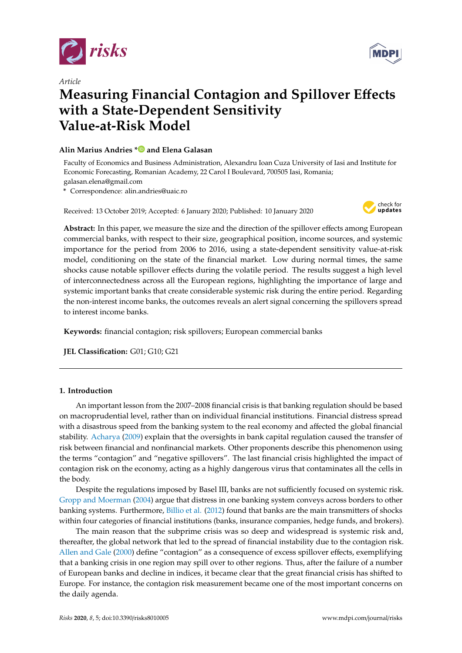

*Article*



# **Measuring Financial Contagion and Spillover E**ff**ects with a State-Dependent Sensitivity Value-at-Risk Model**

# **Alin Marius Andries [\\*](https://orcid.org/0000-0002-4415-4197) and Elena Galasan**

Faculty of Economics and Business Administration, Alexandru Ioan Cuza University of Iasi and Institute for Economic Forecasting, Romanian Academy, 22 Carol I Boulevard, 700505 Iasi, Romania; galasan.elena@gmail.com

**\*** Correspondence: alin.andries@uaic.ro

Received: 13 October 2019; Accepted: 6 January 2020; Published: 10 January 2020



**Abstract:** In this paper, we measure the size and the direction of the spillover effects among European commercial banks, with respect to their size, geographical position, income sources, and systemic importance for the period from 2006 to 2016, using a state-dependent sensitivity value-at-risk model, conditioning on the state of the financial market. Low during normal times, the same shocks cause notable spillover effects during the volatile period. The results suggest a high level of interconnectedness across all the European regions, highlighting the importance of large and systemic important banks that create considerable systemic risk during the entire period. Regarding the non-interest income banks, the outcomes reveals an alert signal concerning the spillovers spread to interest income banks.

**Keywords:** financial contagion; risk spillovers; European commercial banks

**JEL Classification:** G01; G10; G21

# **1. Introduction**

An important lesson from the 2007–2008 financial crisis is that banking regulation should be based on macroprudential level, rather than on individual financial institutions. Financial distress spread with a disastrous speed from the banking system to the real economy and affected the global financial stability. [Acharya](#page-17-0) [\(2009\)](#page-17-0) explain that the oversights in bank capital regulation caused the transfer of risk between financial and nonfinancial markets. Other proponents describe this phenomenon using the terms "contagion" and "negative spillovers". The last financial crisis highlighted the impact of contagion risk on the economy, acting as a highly dangerous virus that contaminates all the cells in the body.

Despite the regulations imposed by Basel III, banks are not sufficiently focused on systemic risk. [Gropp and Moerman](#page-18-0) [\(2004\)](#page-18-0) argue that distress in one banking system conveys across borders to other banking systems. Furthermore, [Billio et al.](#page-18-1) [\(2012\)](#page-18-1) found that banks are the main transmitters of shocks within four categories of financial institutions (banks, insurance companies, hedge funds, and brokers).

The main reason that the subprime crisis was so deep and widespread is systemic risk and, thereafter, the global network that led to the spread of financial instability due to the contagion risk. [Allen and Gale](#page-17-1) [\(2000\)](#page-17-1) define "contagion" as a consequence of excess spillover effects, exemplifying that a banking crisis in one region may spill over to other regions. Thus, after the failure of a number of European banks and decline in indices, it became clear that the great financial crisis has shifted to Europe. For instance, the contagion risk measurement became one of the most important concerns on the daily agenda.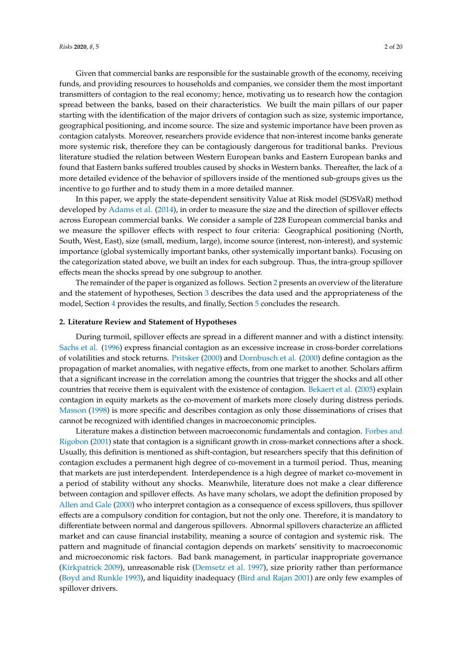Given that commercial banks are responsible for the sustainable growth of the economy, receiving funds, and providing resources to households and companies, we consider them the most important transmitters of contagion to the real economy; hence, motivating us to research how the contagion spread between the banks, based on their characteristics. We built the main pillars of our paper starting with the identification of the major drivers of contagion such as size, systemic importance, geographical positioning, and income source. The size and systemic importance have been proven as contagion catalysts. Moreover, researchers provide evidence that non-interest income banks generate more systemic risk, therefore they can be contagiously dangerous for traditional banks. Previous literature studied the relation between Western European banks and Eastern European banks and found that Eastern banks suffered troubles caused by shocks in Western banks. Thereafter, the lack of a more detailed evidence of the behavior of spillovers inside of the mentioned sub-groups gives us the incentive to go further and to study them in a more detailed manner.

In this paper, we apply the state-dependent sensitivity Value at Risk model (SDSVaR) method developed by [Adams et al.](#page-17-2) [\(2014\)](#page-17-2), in order to measure the size and the direction of spillover effects across European commercial banks. We consider a sample of 228 European commercial banks and we measure the spillover effects with respect to four criteria: Geographical positioning (North, South, West, East), size (small, medium, large), income source (interest, non-interest), and systemic importance (global systemically important banks, other systemically important banks). Focusing on the categorization stated above, we built an index for each subgroup. Thus, the intra-group spillover effects mean the shocks spread by one subgroup to another.

The remainder of the paper is organized as follows. Section [2](#page-1-0) presents an overview of the literature and the statement of hypotheses, Section [3](#page-4-0) describes the data used and the appropriateness of the model, Section [4](#page-7-0) provides the results, and finally, Section [5](#page-12-0) concludes the research.

## <span id="page-1-0"></span>**2. Literature Review and Statement of Hypotheses**

During turmoil, spillover effects are spread in a different manner and with a distinct intensity. [Sachs et al.](#page-19-0) [\(1996\)](#page-19-0) express financial contagion as an excessive increase in cross-border correlations of volatilities and stock returns. [Pritsker](#page-18-2) [\(2000\)](#page-18-2) and [Dornbusch et al.](#page-18-3) [\(2000\)](#page-18-3) define contagion as the propagation of market anomalies, with negative effects, from one market to another. Scholars affirm that a significant increase in the correlation among the countries that trigger the shocks and all other countries that receive them is equivalent with the existence of contagion. [Bekaert et al.](#page-17-3) [\(2005\)](#page-17-3) explain contagion in equity markets as the co-movement of markets more closely during distress periods. [Masson](#page-18-4) [\(1998\)](#page-18-4) is more specific and describes contagion as only those disseminations of crises that cannot be recognized with identified changes in macroeconomic principles.

Literature makes a distinction between macroeconomic fundamentals and contagion. [Forbes and](#page-18-5) [Rigobon](#page-18-5) [\(2001\)](#page-18-5) state that contagion is a significant growth in cross-market connections after a shock. Usually, this definition is mentioned as shift-contagion, but researchers specify that this definition of contagion excludes a permanent high degree of co-movement in a turmoil period. Thus, meaning that markets are just interdependent. Interdependence is a high degree of market co-movement in a period of stability without any shocks. Meanwhile, literature does not make a clear difference between contagion and spillover effects. As have many scholars, we adopt the definition proposed by [Allen and Gale](#page-17-1) [\(2000\)](#page-17-1) who interpret contagion as a consequence of excess spillovers, thus spillover effects are a compulsory condition for contagion, but not the only one. Therefore, it is mandatory to differentiate between normal and dangerous spillovers. Abnormal spillovers characterize an afflicted market and can cause financial instability, meaning a source of contagion and systemic risk. The pattern and magnitude of financial contagion depends on markets' sensitivity to macroeconomic and microeconomic risk factors. Bad bank management, in particular inappropriate governance [\(Kirkpatrick](#page-18-6) [2009\)](#page-18-6), unreasonable risk [\(Demsetz et al.](#page-18-7) [1997\)](#page-18-7), size priority rather than performance [\(Boyd and Runkle](#page-18-8) [1993\)](#page-18-8), and liquidity inadequacy [\(Bird and Rajan](#page-18-9) [2001\)](#page-18-9) are only few examples of spillover drivers.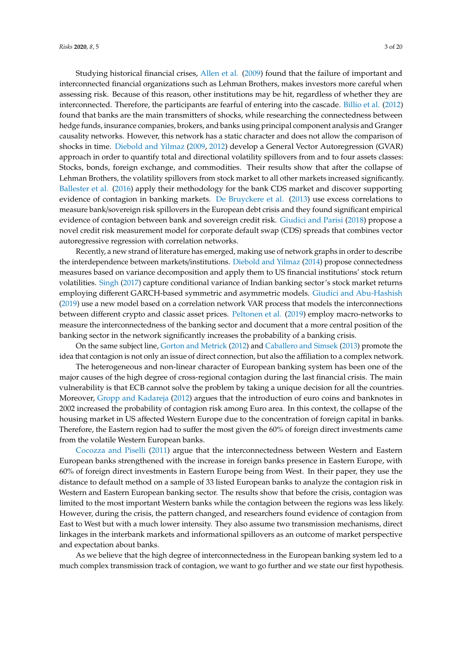Studying historical financial crises, [Allen et al.](#page-17-4) [\(2009\)](#page-17-4) found that the failure of important and interconnected financial organizations such as Lehman Brothers, makes investors more careful when assessing risk. Because of this reason, other institutions may be hit, regardless of whether they are interconnected. Therefore, the participants are fearful of entering into the cascade. [Billio et al.](#page-18-1) [\(2012\)](#page-18-1) found that banks are the main transmitters of shocks, while researching the connectedness between hedge funds, insurance companies, brokers, and banks using principal component analysis and Granger causality networks. However, this network has a static character and does not allow the comparison of shocks in time. [Diebold and Yilmaz](#page-18-10) [\(2009,](#page-18-10) [2012\)](#page-18-11) develop a General Vector Autoregression (GVAR) approach in order to quantify total and directional volatility spillovers from and to four assets classes: Stocks, bonds, foreign exchange, and commodities. Their results show that after the collapse of Lehman Brothers, the volatility spillovers from stock market to all other markets increased significantly. [Ballester et al.](#page-17-5) [\(2016\)](#page-17-5) apply their methodology for the bank CDS market and discover supporting evidence of contagion in banking markets. [De Bruyckere et al.](#page-18-12) [\(2013\)](#page-18-12) use excess correlations to measure bank/sovereign risk spillovers in the European debt crisis and they found significant empirical evidence of contagion between bank and sovereign credit risk. [Giudici and Parisi](#page-18-13) [\(2018\)](#page-18-13) propose a novel credit risk measurement model for corporate default swap (CDS) spreads that combines vector autoregressive regression with correlation networks.

Recently, a new strand of literature has emerged, making use of network graphs in order to describe the interdependence between markets/institutions. [Diebold and Yilmaz](#page-18-14) [\(2014\)](#page-18-14) propose connectedness measures based on variance decomposition and apply them to US financial institutions' stock return volatilities. [Singh](#page-19-1) [\(2017\)](#page-19-1) capture conditional variance of Indian banking sector's stock market returns employing different GARCH-based symmetric and asymmetric models. [Giudici and Abu-Hashish](#page-18-15) [\(2019\)](#page-18-15) use a new model based on a correlation network VAR process that models the interconnections between different crypto and classic asset prices. [Peltonen et al.](#page-18-16) [\(2019\)](#page-18-16) employ macro-networks to measure the interconnectedness of the banking sector and document that a more central position of the banking sector in the network significantly increases the probability of a banking crisis.

On the same subject line, [Gorton and Metrick](#page-18-17) [\(2012\)](#page-18-17) and [Caballero and Simsek](#page-18-18) [\(2013\)](#page-18-18) promote the idea that contagion is not only an issue of direct connection, but also the affiliation to a complex network.

The heterogeneous and non-linear character of European banking system has been one of the major causes of the high degree of cross-regional contagion during the last financial crisis. The main vulnerability is that ECB cannot solve the problem by taking a unique decision for all the countries. Moreover, [Gropp and Kadareja](#page-18-19) [\(2012\)](#page-18-19) argues that the introduction of euro coins and banknotes in 2002 increased the probability of contagion risk among Euro area. In this context, the collapse of the housing market in US affected Western Europe due to the concentration of foreign capital in banks. Therefore, the Eastern region had to suffer the most given the 60% of foreign direct investments came from the volatile Western European banks.

[Cocozza and Piselli](#page-18-20) [\(2011\)](#page-18-20) argue that the interconnectedness between Western and Eastern European banks strengthened with the increase in foreign banks presence in Eastern Europe, with 60% of foreign direct investments in Eastern Europe being from West. In their paper, they use the distance to default method on a sample of 33 listed European banks to analyze the contagion risk in Western and Eastern European banking sector. The results show that before the crisis, contagion was limited to the most important Western banks while the contagion between the regions was less likely. However, during the crisis, the pattern changed, and researchers found evidence of contagion from East to West but with a much lower intensity. They also assume two transmission mechanisms, direct linkages in the interbank markets and informational spillovers as an outcome of market perspective and expectation about banks.

As we believe that the high degree of interconnectedness in the European banking system led to a much complex transmission track of contagion, we want to go further and we state our first hypothesis.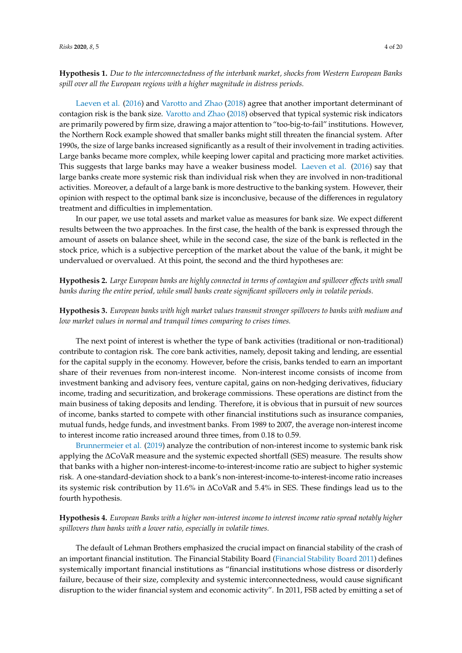**Hypothesis 1.** *Due to the interconnectedness of the interbank market, shocks from Western European Banks spill over all the European regions with a higher magnitude in distress periods.*

[Laeven et al.](#page-18-21) [\(2016\)](#page-18-21) and [Varotto and Zhao](#page-19-2) [\(2018\)](#page-19-2) agree that another important determinant of contagion risk is the bank size. [Varotto and Zhao](#page-19-2) [\(2018\)](#page-19-2) observed that typical systemic risk indicators are primarily powered by firm size, drawing a major attention to "too-big-to-fail" institutions. However, the Northern Rock example showed that smaller banks might still threaten the financial system. After 1990s, the size of large banks increased significantly as a result of their involvement in trading activities. Large banks became more complex, while keeping lower capital and practicing more market activities. This suggests that large banks may have a weaker business model. [Laeven et al.](#page-18-21) [\(2016\)](#page-18-21) say that large banks create more systemic risk than individual risk when they are involved in non-traditional activities. Moreover, a default of a large bank is more destructive to the banking system. However, their opinion with respect to the optimal bank size is inconclusive, because of the differences in regulatory treatment and difficulties in implementation.

In our paper, we use total assets and market value as measures for bank size. We expect different results between the two approaches. In the first case, the health of the bank is expressed through the amount of assets on balance sheet, while in the second case, the size of the bank is reflected in the stock price, which is a subjective perception of the market about the value of the bank, it might be undervalued or overvalued. At this point, the second and the third hypotheses are:

**Hypothesis 2.** *Large European banks are highly connected in terms of contagion and spillover e*ff*ects with small banks during the entire period, while small banks create significant spillovers only in volatile periods.*

**Hypothesis 3.** *European banks with high market values transmit stronger spillovers to banks with medium and low market values in normal and tranquil times comparing to crises times.*

The next point of interest is whether the type of bank activities (traditional or non-traditional) contribute to contagion risk. The core bank activities, namely, deposit taking and lending, are essential for the capital supply in the economy. However, before the crisis, banks tended to earn an important share of their revenues from non-interest income. Non-interest income consists of income from investment banking and advisory fees, venture capital, gains on non-hedging derivatives, fiduciary income, trading and securitization, and brokerage commissions. These operations are distinct from the main business of taking deposits and lending. Therefore, it is obvious that in pursuit of new sources of income, banks started to compete with other financial institutions such as insurance companies, mutual funds, hedge funds, and investment banks. From 1989 to 2007, the average non-interest income to interest income ratio increased around three times, from 0.18 to 0.59.

[Brunnermeier et al.](#page-18-22) [\(2019\)](#page-18-22) analyze the contribution of non-interest income to systemic bank risk applying the ∆CoVaR measure and the systemic expected shortfall (SES) measure. The results show that banks with a higher non-interest-income-to-interest-income ratio are subject to higher systemic risk. A one-standard-deviation shock to a bank's non-interest-income-to-interest-income ratio increases its systemic risk contribution by 11.6% in ∆CoVaR and 5.4% in SES. These findings lead us to the fourth hypothesis.

**Hypothesis 4.** *European Banks with a higher non-interest income to interest income ratio spread notably higher spillovers than banks with a lower ratio, especially in volatile times.*

The default of Lehman Brothers emphasized the crucial impact on financial stability of the crash of an important financial institution. The Financial Stability Board [\(Financial Stability Board](#page-18-23) [2011\)](#page-18-23) defines systemically important financial institutions as "financial institutions whose distress or disorderly failure, because of their size, complexity and systemic interconnectedness, would cause significant disruption to the wider financial system and economic activity". In 2011, FSB acted by emitting a set of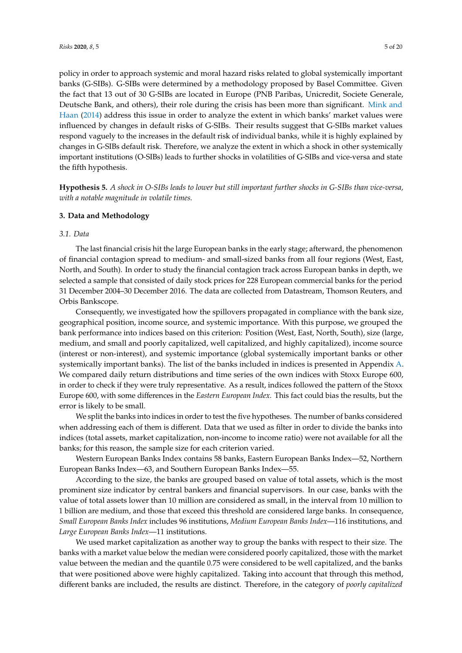policy in order to approach systemic and moral hazard risks related to global systemically important banks (G-SIBs). G-SIBs were determined by a methodology proposed by Basel Committee. Given the fact that 13 out of 30 G-SIBs are located in Europe (PNB Paribas, Unicredit, Societe Generale, Deutsche Bank, and others), their role during the crisis has been more than significant. [Mink and](#page-18-24) [Haan](#page-18-24) [\(2014\)](#page-18-24) address this issue in order to analyze the extent in which banks' market values were influenced by changes in default risks of G-SIBs. Their results suggest that G-SIBs market values respond vaguely to the increases in the default risk of individual banks, while it is highly explained by changes in G-SIBs default risk. Therefore, we analyze the extent in which a shock in other systemically important institutions (O-SIBs) leads to further shocks in volatilities of G-SIBs and vice-versa and state the fifth hypothesis.

**Hypothesis 5.** *A shock in O-SIBs leads to lower but still important further shocks in G-SIBs than vice-versa, with a notable magnitude in volatile times.*

## <span id="page-4-0"></span>**3. Data and Methodology**

## *3.1. Data*

The last financial crisis hit the large European banks in the early stage; afterward, the phenomenon of financial contagion spread to medium- and small-sized banks from all four regions (West, East, North, and South). In order to study the financial contagion track across European banks in depth, we selected a sample that consisted of daily stock prices for 228 European commercial banks for the period 31 December 2004–30 December 2016. The data are collected from Datastream, Thomson Reuters, and Orbis Bankscope.

Consequently, we investigated how the spillovers propagated in compliance with the bank size, geographical position, income source, and systemic importance. With this purpose, we grouped the bank performance into indices based on this criterion: Position (West, East, North, South), size (large, medium, and small and poorly capitalized, well capitalized, and highly capitalized), income source (interest or non-interest), and systemic importance (global systemically important banks or other systemically important banks). The list of the banks included in indices is presented in Appendix [A.](#page-13-0) We compared daily return distributions and time series of the own indices with Stoxx Europe 600, in order to check if they were truly representative. As a result, indices followed the pattern of the Stoxx Europe 600, with some differences in the *Eastern European Index.* This fact could bias the results, but the error is likely to be small.

We split the banks into indices in order to test the five hypotheses. The number of banks considered when addressing each of them is different. Data that we used as filter in order to divide the banks into indices (total assets, market capitalization, non-income to income ratio) were not available for all the banks; for this reason, the sample size for each criterion varied.

Western European Banks Index contains 58 banks, Eastern European Banks Index—52, Northern European Banks Index—63, and Southern European Banks Index—55.

According to the size, the banks are grouped based on value of total assets, which is the most prominent size indicator by central bankers and financial supervisors. In our case, banks with the value of total assets lower than 10 million are considered as small, in the interval from 10 million to 1 billion are medium, and those that exceed this threshold are considered large banks. In consequence, *Small European Banks Index* includes 96 institutions, *Medium European Banks Index*—116 institutions, and *Large European Banks Index*—11 institutions.

We used market capitalization as another way to group the banks with respect to their size. The banks with a market value below the median were considered poorly capitalized, those with the market value between the median and the quantile 0.75 were considered to be well capitalized, and the banks that were positioned above were highly capitalized. Taking into account that through this method, different banks are included, the results are distinct. Therefore, in the category of *poorly capitalized*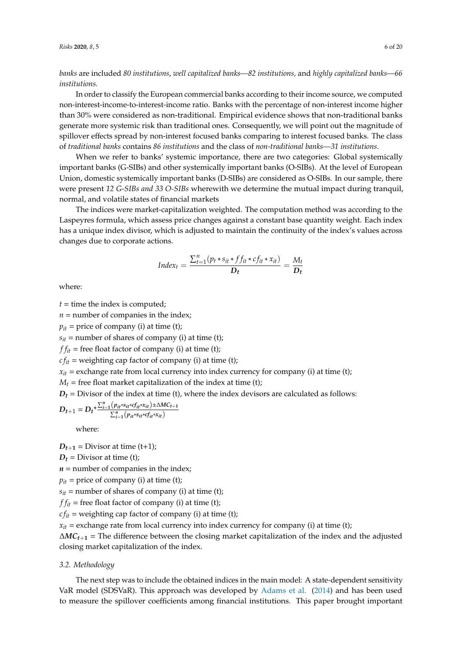*banks* are included *80 institutions*, *well capitalized banks—82 institutions,* and *highly capitalized banks—66 institutions.*

In order to classify the European commercial banks according to their income source, we computed non-interest-income-to-interest-income ratio. Banks with the percentage of non-interest income higher than 30% were considered as non-traditional. Empirical evidence shows that non-traditional banks generate more systemic risk than traditional ones. Consequently, we will point out the magnitude of spillover effects spread by non-interest focused banks comparing to interest focused banks. The class of *traditional banks* contains *86 institutions* and the class of *non-traditional banks—31 institutions*.

When we refer to banks' systemic importance, there are two categories: Global systemically important banks (G-SIBs) and other systemically important banks (O-SIBs). At the level of European Union, domestic systemically important banks (D-SIBs) are considered as O-SIBs. In our sample, there were present *12 G-SIBs and 33 O-SIBs* wherewith we determine the mutual impact during tranquil, normal, and volatile states of financial markets

The indices were market-capitalization weighted. The computation method was according to the Laspeyres formula, which assess price changes against a constant base quantity weight. Each index has a unique index divisor, which is adjusted to maintain the continuity of the index's values across changes due to corporate actions.

$$
Index_t = \frac{\sum_{t=1}^{n} (p_t * s_{it} * ff_{it} * cf_{it} * x_{it})}{D_t} = \frac{M_t}{D_t}
$$

where:

 $t =$  time the index is computed;

 $n =$  number of companies in the index;

 $p_{it}$  = price of company (i) at time (t);

 $s_{it}$  = number of shares of company (i) at time (t);

 $f_{it}$  = free float factor of company (i) at time (t);

 $cf_{it}$  = weighting cap factor of company (i) at time (t);

 $x<sub>it</sub>$  = exchange rate from local currency into index currency for company (i) at time (t);

 $M_t$  = free float market capitalization of the index at time (t);

 $D_t$  = Divisor of the index at time (t), where the index devisors are calculated as follows:

$$
D_{t+1} = D_t^* \frac{\sum_{i=1}^n (\rho_{it} * s_{it} * \sigma_{it} * x_{it}) \pm \Delta MC_{t+1}}{\sum_{i=1}^n (\rho_{it} * s_{it} * \sigma_{it} * x_{it})}
$$

where:

 $D_{t+1}$  = Divisor at time (t+1);

 $D_t$  = Divisor at time (t);

 $n =$  number of companies in the index;

 $p_{it}$  = price of company (i) at time (t);

 $s_{it}$  = number of shares of company (i) at time (t);

 $f_{it}$  = free float factor of company (i) at time (t);

 $cf_{it}$  = weighting cap factor of company (i) at time (t);

 $x_{it}$  = exchange rate from local currency into index currency for company (i) at time (t);

∆*MCt*+**<sup>1</sup>** = The difference between the closing market capitalization of the index and the adjusted closing market capitalization of the index.

## *3.2. Methodology*

The next step was to include the obtained indices in the main model: A state-dependent sensitivity VaR model (SDSVaR). This approach was developed by [Adams et al.](#page-17-2) [\(2014\)](#page-17-2) and has been used to measure the spillover coefficients among financial institutions. This paper brought important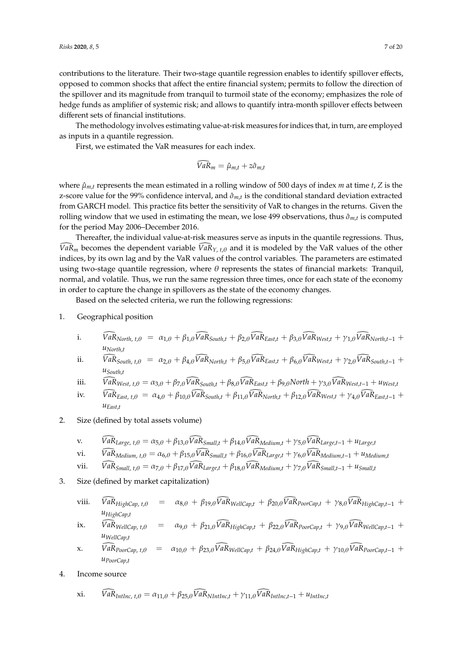contributions to the literature. Their two-stage quantile regression enables to identify spillover effects, opposed to common shocks that affect the entire financial system; permits to follow the direction of the spillover and its magnitude from tranquil to turmoil state of the economy; emphasizes the role of hedge funds as amplifier of systemic risk; and allows to quantify intra-month spillover effects between different sets of financial institutions.

The methodology involves estimating value-at-risk measures for indices that, in turn, are employed as inputs in a quantile regression.

First, we estimated the VaR measures for each index.

$$
\bar{V}a\bar{R}_m=\hat{\mu}_{m,t}+z\hat{\sigma}_{m,t}
$$

where  $\hat{\mu}_{m,t}$  represents the mean estimated in a rolling window of 500 days of index *m* at time *t*, *Z* is the z-score value for the 99% confidence interval, and  $\hat{\sigma}_{m,t}$  is the conditional standard deviation extracted from GARCH model. This practice fits better the sensitivity of VaR to changes in the returns. Given the rolling window that we used in estimating the mean, we lose 499 observations, thus  $\hat{\sigma}_{m,t}$  is computed for the period May 2006–December 2016.

Thereafter, the individual value-at-risk measures serve as inputs in the quantile regressions. Thus,  $VaR_m$  becomes the dependent variable  $VaR_{Y, t, \theta}$  and it is modeled by the VaR values of the other indices, by its own lag and by the VaR values of the control variables. The parameters are estimated using two-stage quantile regression, where  $\theta$  represents the states of financial markets: Tranquil, normal, and volatile. Thus, we run the same regression three times, once for each state of the economy in order to capture the change in spillovers as the state of the economy changes.

Based on the selected criteria, we run the following regressions:

- 1. Geographical position
	- i.  $\widehat{VaR}_{North, t, \theta} = \alpha_{1, \theta} + \beta_{1, \theta} \widehat{VaR}_{South, t} + \beta_{2, \theta} \widehat{VaR}_{Fast, t} + \beta_{3, \theta} \widehat{VaR}_{West, t} + \gamma_{1, \theta} \widehat{VaR}_{North, t-1} +$ *uNorth*,*<sup>t</sup>*
	- ii.  $\widehat{VaR}_{South, t, \theta} = \alpha_{2, \theta} + \beta_{4, \theta} \widehat{VaR}_{North, t} + \beta_{5, \theta} \widehat{VaR}_{East, t} + \beta_{6, \theta} \widehat{VaR}_{West, t} + \gamma_{2, \theta} \widehat{VaR}_{South, t-1} +$ *uSouth*,*<sup>t</sup>*
	- iii.  $\widehat{VaR}_{West, t, \theta} = \alpha_{3, \theta} + \beta_{7, \theta} \widehat{VaR}_{South, t} + \beta_{8, \theta} \widehat{VaR}_{East, t} + \beta_{9, \theta} North + \gamma_{3, \theta} \widehat{VaR}_{West, t-1} + u_{West, t}$
	- $\widehat{VaR}_{East, t, \theta} = \alpha_{4, \theta} + \beta_{10, \theta} \widehat{VaR}_{South, t} + \beta_{11, \theta} \widehat{VaR}_{North, t} + \beta_{12, \theta} \widehat{VaR}_{West, t} + \gamma_{4, \theta} \widehat{VaR}_{East, t-1} + \gamma_{4, \theta} \widehat{VaR}_{Text, t-1} + \gamma_{4, \theta} \widehat{VaR}_{Text, t-1} + \gamma_{4, \theta} \widehat{VaR}_{Text, t-1} + \gamma_{4, \theta} \widehat{VaR}_{Text, t-1} + \gamma_{4, \theta} \widehat{VaR}_{Text, t-1} + \$ *uEast*,*<sup>t</sup>*
- 2. Size (defined by total assets volume)

v. 
$$
\widehat{VaR}_{Large, t, \theta} = \alpha_{5,\theta} + \beta_{13,\theta} \widehat{VaR}_{Small, t} + \beta_{14,\theta} \widehat{VaR}_{Median, t} + \gamma_{5,\theta} \widehat{VaR}_{Large, t-1} + u_{Large}
$$

vi. 
$$
\widehat{VaR}_{Median, t, \theta} = \alpha_{6,\theta} + \beta_{15,\theta} \widehat{VaR}_{Small,t} + \beta_{16,\theta} \widehat{VaR}_{Large,t} + \gamma_{6,\theta} \widehat{VaR}_{Median,t-1} + u_{Median,t}
$$

- vii.  $\bar{VaR}_{Small, t, \theta} = \alpha_{7,\theta} + \beta_{17,\theta} \bar{VaR}_{Large, t} + \beta_{18,\theta} \bar{VaR}_{Medium, t} + \gamma_{7,\theta} \bar{VaR}_{Small, t-1} + \nu_{Small, t}$
- 3. Size (defined by market capitalization)
	- viii.  $\widehat{VaR}_{HighCap, t, \theta} = \alpha_{8,\theta} + \beta_{19,\theta} \widehat{VaR}_{WellCap, t} + \beta_{20,\theta} \widehat{VaR}_{PoorCap, t} + \gamma_{8,\theta} \widehat{VaR}_{HighCap, t-1} +$ *uHighCap*,*<sup>t</sup>*
	- $\widehat{V}_{ak} = \widehat{V}_{ak} \widehat{V}_{ak} + \widehat{\beta}_{21,\theta} \widehat{V}_{ak} + \widehat{\beta}_{22,\theta} \widehat{V}_{ak} \widehat{P}_{boxCap,t} + \gamma_{9,\theta} \widehat{V}_{ak} \widehat{V}_{del} + \gamma_{1,\theta} \widehat{V}_{ak} \widehat{V}_{ak}$ *uWellCap*,*<sup>t</sup>*
	- $x.$  *VaR*  $p_{oorCap, t, \theta} = \alpha_{10, \theta} + \beta_{23, \theta} \widehat{VaR}_{WellCap, t} + \beta_{24, \theta} \widehat{VaR}_{HighCap, t} + \gamma_{10, \theta} \widehat{VaR}_{PoorCap, t-1} +$ *uPoorCap*,*<sup>t</sup>*
- 4. Income source

xi. 
$$
VaR_{Inflnc, t, \theta} = \alpha_{11, \theta} + \beta_{25, \theta} VaR_{NInflnc, t} + \gamma_{11, \theta} VaR_{Inflnc, t-1} + u_{Inflnc, t}
$$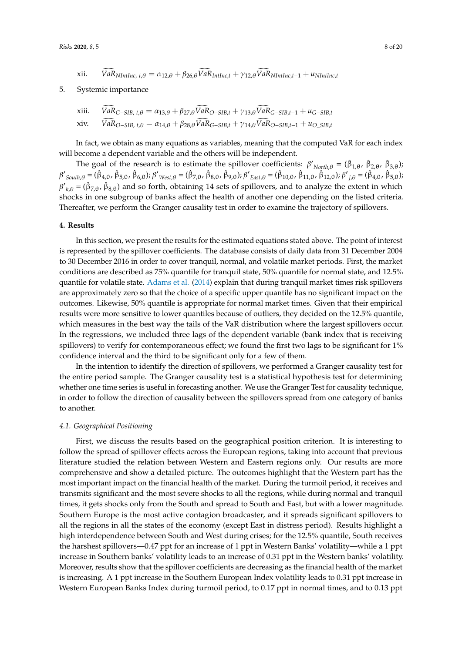xii. 
$$
\bar{V}a\bar{R}_{NIntInc, t, \theta} = \alpha_{12,\theta} + \beta_{26,\theta}\bar{V}a\bar{R}_{IntInc,t} + \gamma_{12,\theta}\bar{V}a\bar{R}_{NIntInc,t-1} + u_{NIntInc,t}
$$

## 5. Systemic importance

xiii. 
$$
\overline{VaR}_{G-SIB, t, \theta} = \alpha_{13, \theta} + \beta_{27, \theta} \overline{VaR}_{O-SIB, t} + \gamma_{13, \theta} \overline{VaR}_{G-SIB, t-1} + u_{G-SIB, t}
$$
  
xiv. 
$$
\overline{VaR}_{O-SIB, t, \theta} = \alpha_{14, \theta} + \beta_{28, \theta} \overline{VaR}_{G-SIB, t} + \gamma_{14, \theta} \overline{VaR}_{O-SIB, t-1} + u_{O-SIB, t}
$$

In fact, we obtain as many equations as variables, meaning that the computed VaR for each index will become a dependent variable and the others will be independent.

The goal of the research is to estimate the spillover coefficients:  $\beta'_{North,\theta} = (\hat{\beta}_{1,\theta}, \hat{\beta}_{2,\theta}, \hat{\beta}_{3,\theta})$ ;  $β'_{South,θ} = (β_{4,θ}, β_{5,θ}, β_{6,θ}); β'_{West,θ} = (β_{7,θ}, β_{8,θ}, β_{9,θ}); β'_{East,θ} = (β_{10,θ}, β_{11,θ}, β_{12,θ}); β'_{j,θ} = (β_{4,θ}, β_{5,θ});$  ${\beta'}_{k,\theta} = (\hat{\beta}_{7,\theta}, \hat{\beta}_{8,\theta})$  and so forth, obtaining 14 sets of spillovers, and to analyze the extent in which shocks in one subgroup of banks affect the health of another one depending on the listed criteria. Thereafter, we perform the Granger causality test in order to examine the trajectory of spillovers.

#### <span id="page-7-0"></span>**4. Results**

In this section, we present the results for the estimated equations stated above. The point of interest is represented by the spillover coefficients. The database consists of daily data from 31 December 2004 to 30 December 2016 in order to cover tranquil, normal, and volatile market periods. First, the market conditions are described as 75% quantile for tranquil state, 50% quantile for normal state, and 12.5% quantile for volatile state. [Adams et al.](#page-17-2) [\(2014\)](#page-17-2) explain that during tranquil market times risk spillovers are approximately zero so that the choice of a specific upper quantile has no significant impact on the outcomes. Likewise, 50% quantile is appropriate for normal market times. Given that their empirical results were more sensitive to lower quantiles because of outliers, they decided on the 12.5% quantile, which measures in the best way the tails of the VaR distribution where the largest spillovers occur. In the regressions, we included three lags of the dependent variable (bank index that is receiving spillovers) to verify for contemporaneous effect; we found the first two lags to be significant for 1% confidence interval and the third to be significant only for a few of them.

In the intention to identify the direction of spillovers, we performed a Granger causality test for the entire period sample. The Granger causality test is a statistical hypothesis test for determining whether one time series is useful in forecasting another. We use the Granger Test for causality technique, in order to follow the direction of causality between the spillovers spread from one category of banks to another.

#### *4.1. Geographical Positioning*

First, we discuss the results based on the geographical position criterion. It is interesting to follow the spread of spillover effects across the European regions, taking into account that previous literature studied the relation between Western and Eastern regions only. Our results are more comprehensive and show a detailed picture. The outcomes highlight that the Western part has the most important impact on the financial health of the market. During the turmoil period, it receives and transmits significant and the most severe shocks to all the regions, while during normal and tranquil times, it gets shocks only from the South and spread to South and East, but with a lower magnitude. Southern Europe is the most active contagion broadcaster, and it spreads significant spillovers to all the regions in all the states of the economy (except East in distress period). Results highlight a high interdependence between South and West during crises; for the 12.5% quantile, South receives the harshest spillovers—0.47 ppt for an increase of 1 ppt in Western Banks' volatility—while a 1 ppt increase in Southern banks' volatility leads to an increase of 0.31 ppt in the Western banks' volatility. Moreover, results show that the spillover coefficients are decreasing as the financial health of the market is increasing. A 1 ppt increase in the Southern European Index volatility leads to 0.31 ppt increase in Western European Banks Index during turmoil period, to 0.17 ppt in normal times, and to 0.13 ppt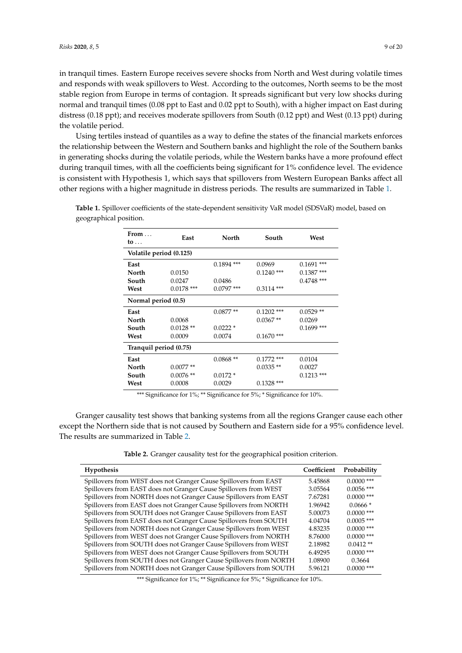in tranquil times. Eastern Europe receives severe shocks from North and West during volatile times and responds with weak spillovers to West. According to the outcomes, North seems to be the most stable region from Europe in terms of contagion. It spreads significant but very low shocks during normal and tranquil times (0.08 ppt to East and 0.02 ppt to South), with a higher impact on East during distress (0.18 ppt); and receives moderate spillovers from South (0.12 ppt) and West (0.13 ppt) during the volatile period.

Using tertiles instead of quantiles as a way to define the states of the financial markets enforces the relationship between the Western and Southern banks and highlight the role of the Southern banks in generating shocks during the volatile periods, while the Western banks have a more profound effect during tranquil times, with all the coefficients being significant for 1% confidence level. The evidence is consistent with Hypothesis 1, which says that spillovers from Western European Banks affect all other regions with a higher magnitude in distress periods. The results are summarized in Table [1.](#page-8-0)

| From $\dots$<br>to $\dots$ | East         | North        | South        | West          |
|----------------------------|--------------|--------------|--------------|---------------|
| Volatile period (0.125)    |              |              |              |               |
| East                       |              | $0.1894$ *** | 0.0969       | ***<br>0.1691 |
| North                      | 0.0150       |              | $0.1240$ *** | $0.1387$ ***  |
| South                      | 0.0247       | 0.0486       |              | $0.4748$ ***  |
| West                       | $0.0178$ *** | $0.0797$ *** | $0.3114$ *** |               |
| Normal period (0.5)        |              |              |              |               |
| East                       |              | $0.0877**$   | $0.1202$ *** | $0.0529**$    |
| North                      | 0.0068       |              | $0.0367**$   | 0.0269        |
| South                      | $0.0128**$   | $0.0222*$    |              | $0.1699$ ***  |
| West                       | 0.0009       | 0.0074       | $0.1670$ *** |               |
| Tranquil period (0.75)     |              |              |              |               |
| East                       |              | $0.0868**$   | $0.1772$ *** | 0.0104        |
| North                      | $0.0077**$   |              | $0.0335**$   | 0.0027        |
| South                      | $0.0076**$   | $0.0172*$    |              | $0.1213$ ***  |
| West                       | 0.0008       | 0.0029       | $0.1328$ *** |               |

<span id="page-8-0"></span>**Table 1.** Spillover coefficients of the state-dependent sensitivity VaR model (SDSVaR) model, based on geographical position.

\*\*\* Significance for 1%; \*\* Significance for 5%; \* Significance for 10%.

Granger causality test shows that banking systems from all the regions Granger cause each other except the Northern side that is not caused by Southern and Eastern side for a 95% confidence level. The results are summarized in Table [2.](#page-8-1)

**Table 2.** Granger causality test for the geographical position criterion.

<span id="page-8-1"></span>

| Hypothesis                                                         | Coefficient | Probability  |
|--------------------------------------------------------------------|-------------|--------------|
| Spillovers from WEST does not Granger Cause Spillovers from EAST   | 5.45868     | $0.0000$ *** |
| Spillovers from EAST does not Granger Cause Spillovers from WEST   | 3.05564     | $0.0056$ *** |
| Spillovers from NORTH does not Granger Cause Spillovers from EAST  | 7.67281     | $0.0000$ *** |
| Spillovers from EAST does not Granger Cause Spillovers from NORTH  | 1.96942     | $0.0666*$    |
| Spillovers from SOUTH does not Granger Cause Spillovers from EAST  | 5.00073     | $0.0000$ *** |
| Spillovers from EAST does not Granger Cause Spillovers from SOUTH  | 4.04704     | $0.0005$ *** |
| Spillovers from NORTH does not Granger Cause Spillovers from WEST  | 4.83235     | $0.0000$ *** |
| Spillovers from WEST does not Granger Cause Spillovers from NORTH  | 8.76000     | $0.0000$ *** |
| Spillovers from SOUTH does not Granger Cause Spillovers from WEST  | 2.18982     | $0.0412**$   |
| Spillovers from WEST does not Granger Cause Spillovers from SOUTH  | 6.49295     | $0.0000$ *** |
| Spillovers from SOUTH does not Granger Cause Spillovers from NORTH | 1.08900     | 0.3664       |
| Spillovers from NORTH does not Granger Cause Spillovers from SOUTH | 5.96121     | $0.0000$ *** |

\*\*\* Significance for 1%; \*\* Significance for 5%; \* Significance for 10%.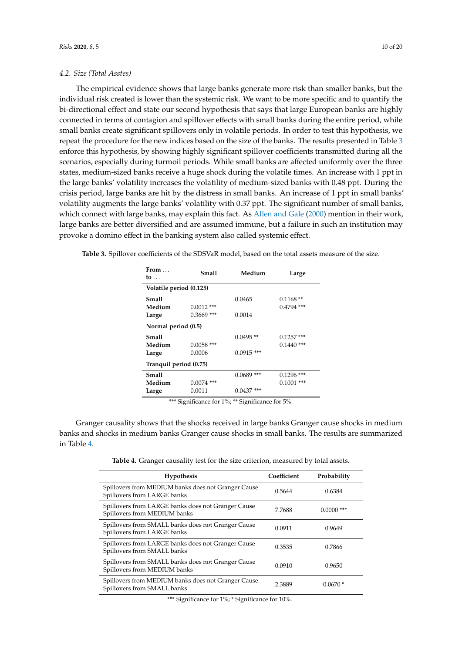## *4.2. Size (Total Asstes)*

The empirical evidence shows that large banks generate more risk than smaller banks, but the individual risk created is lower than the systemic risk. We want to be more specific and to quantify the bi-directional effect and state our second hypothesis that says that large European banks are highly connected in terms of contagion and spillover effects with small banks during the entire period, while small banks create significant spillovers only in volatile periods. In order to test this hypothesis, we repeat the procedure for the new indices based on the size of the banks. The results presented in Table [3](#page-9-0) enforce this hypothesis, by showing highly significant spillover coefficients transmitted during all the scenarios, especially during turmoil periods. While small banks are affected uniformly over the three states, medium-sized banks receive a huge shock during the volatile times. An increase with 1 ppt in the large banks' volatility increases the volatility of medium-sized banks with 0.48 ppt. During the crisis period, large banks are hit by the distress in small banks. An increase of 1 ppt in small banks' volatility augments the large banks' volatility with 0.37 ppt. The significant number of small banks, which connect with large banks, may explain this fact. As [Allen and Gale](#page-17-1) [\(2000\)](#page-17-1) mention in their work, large banks are better diversified and are assumed immune, but a failure in such an institution may provoke a domino effect in the banking system also called systemic effect.

<span id="page-9-0"></span>

|  |  |  | <b>Table 3.</b> Spillover coefficients of the SDSVaR model, based on the total assets measure of the size. |  |
|--|--|--|------------------------------------------------------------------------------------------------------------|--|
|  |  |  |                                                                                                            |  |

| From $\dots$<br>to $\dots$      | Small                  | Medium                       | Large                         |
|---------------------------------|------------------------|------------------------------|-------------------------------|
| Volatile period (0.125)         |                        |                              |                               |
| <b>Small</b><br>Medium          | $0.0012$ ***           | 0.0465                       | $0.1168**$<br>$0.4794$ ***    |
| Large                           | $0.3669$ ***           | 0.0014                       |                               |
| Normal period (0.5)             |                        |                              |                               |
| <b>Small</b><br>Medium<br>Large | $0.0058$ ***<br>0.0006 | $0.0495**$<br>$0.0915$ ***   | $0.1257$ ***<br>$0.1440$ ***  |
| Tranquil period (0.75)          |                        |                              |                               |
| Small<br>Medium<br>Large        | $0.0074$ ***<br>0.0011 | $0.0689$ ***<br>$0.0437$ *** | ***<br>0.1296<br>$0.1001$ *** |

\*\*\* Significance for 1%; \*\* Significance for 5%

<span id="page-9-1"></span>Granger causality shows that the shocks received in large banks Granger cause shocks in medium banks and shocks in medium banks Granger cause shocks in small banks. The results are summarized in Table [4.](#page-9-1)

**Table 4.** Granger causality test for the size criterion, measured by total assets.

| Hypothesis                                                                         | Coefficient | Probability  |
|------------------------------------------------------------------------------------|-------------|--------------|
| Spillovers from MEDIUM banks does not Granger Cause<br>Spillovers from LARGE banks | 0.5644      | 0.6384       |
| Spillovers from LARGE banks does not Granger Cause<br>Spillovers from MEDIUM banks | 7.7688      | $0.0000$ *** |
| Spillovers from SMALL banks does not Granger Cause<br>Spillovers from LARGE banks  | 0.0911      | 0.9649       |
| Spillovers from LARGE banks does not Granger Cause<br>Spillovers from SMALL banks  | 0.3535      | 0.7866       |
| Spillovers from SMALL banks does not Granger Cause<br>Spillovers from MEDIUM banks | 0.0910      | 0.9650       |
| Spillovers from MEDIUM banks does not Granger Cause<br>Spillovers from SMALL banks | 2.3889      | $0.0670*$    |

\*\*\* Significance for 1%; \* Significance for 10%.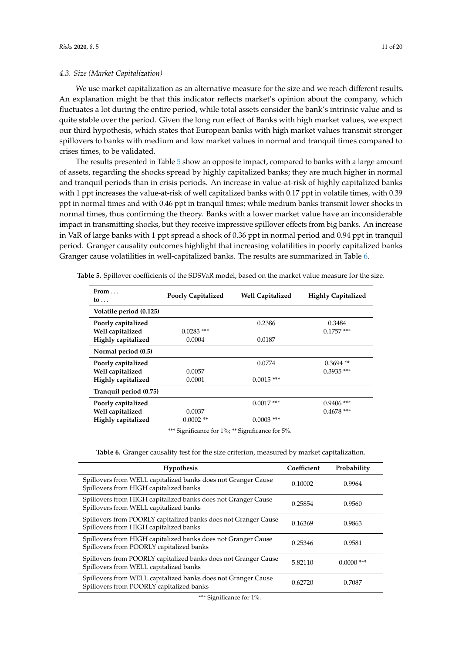## *4.3. Size (Market Capitalization)*

We use market capitalization as an alternative measure for the size and we reach different results. An explanation might be that this indicator reflects market's opinion about the company, which fluctuates a lot during the entire period, while total assets consider the bank's intrinsic value and is quite stable over the period. Given the long run effect of Banks with high market values, we expect our third hypothesis, which states that European banks with high market values transmit stronger spillovers to banks with medium and low market values in normal and tranquil times compared to crises times, to be validated.

The results presented in Table [5](#page-10-0) show an opposite impact, compared to banks with a large amount of assets, regarding the shocks spread by highly capitalized banks; they are much higher in normal and tranquil periods than in crisis periods. An increase in value-at-risk of highly capitalized banks with 1 ppt increases the value-at-risk of well capitalized banks with 0.17 ppt in volatile times, with 0.39 ppt in normal times and with 0.46 ppt in tranquil times; while medium banks transmit lower shocks in normal times, thus confirming the theory. Banks with a lower market value have an inconsiderable impact in transmitting shocks, but they receive impressive spillover effects from big banks. An increase in VaR of large banks with 1 ppt spread a shock of 0.36 ppt in normal period and 0.94 ppt in tranquil period. Granger causality outcomes highlight that increasing volatilities in poorly capitalized banks Granger cause volatilities in well-capitalized banks. The results are summarized in Table [6.](#page-10-1)

| From $\dots$<br>to $\ldots$                                  | <b>Poorly Capitalized</b> | <b>Well Capitalized</b>      | <b>Highly Capitalized</b>    |
|--------------------------------------------------------------|---------------------------|------------------------------|------------------------------|
| Volatile period (0.125)                                      |                           |                              |                              |
| Poorly capitalized<br>Well capitalized<br>Highly capitalized | $0.0283$ ***<br>0.0004    | 0.2386<br>0.0187             | 0.3484<br>$0.1757$ ***       |
| Normal period (0.5)                                          |                           |                              |                              |
| Poorly capitalized<br>Well capitalized<br>Highly capitalized | 0.0057<br>0.0001          | 0.0774<br>$0.0015$ ***       | $0.3694$ **<br>$0.3935$ ***  |
| Tranquil period (0.75)                                       |                           |                              |                              |
| Poorly capitalized<br>Well capitalized<br>Highly capitalized | 0.0037<br>$0.0002$ **     | $0.0017$ ***<br>$0.0003$ *** | $0.9406$ ***<br>$0.4678$ *** |

<span id="page-10-0"></span>**Table 5.** Spillover coefficients of the SDSVaR model, based on the market value measure for the size.

\*\*\* Significance for 1%; \*\* Significance for 5%.

|  |  |  |  |  |  |  |  |  | Table 6. Granger causality test for the size criterion, measured by market capitalization. |
|--|--|--|--|--|--|--|--|--|--------------------------------------------------------------------------------------------|
|--|--|--|--|--|--|--|--|--|--------------------------------------------------------------------------------------------|

<span id="page-10-1"></span>

| <b>Hypothesis</b>                                                                                         | Coefficient | Probability  |
|-----------------------------------------------------------------------------------------------------------|-------------|--------------|
| Spillovers from WELL capitalized banks does not Granger Cause<br>Spillovers from HIGH capitalized banks   | 0.10002     | 0.9964       |
| Spillovers from HIGH capitalized banks does not Granger Cause<br>Spillovers from WELL capitalized banks   | 0.25854     | 0.9560       |
| Spillovers from POORLY capitalized banks does not Granger Cause<br>Spillovers from HIGH capitalized banks | 0.16369     | 0.9863       |
| Spillovers from HIGH capitalized banks does not Granger Cause<br>Spillovers from POORLY capitalized banks | 0.25346     | 0.9581       |
| Spillovers from POORLY capitalized banks does not Granger Cause<br>Spillovers from WELL capitalized banks | 5.82110     | $0.0000$ *** |
| Spillovers from WELL capitalized banks does not Granger Cause<br>Spillovers from POORLY capitalized banks | 0.62720     | 0.7087       |
|                                                                                                           |             |              |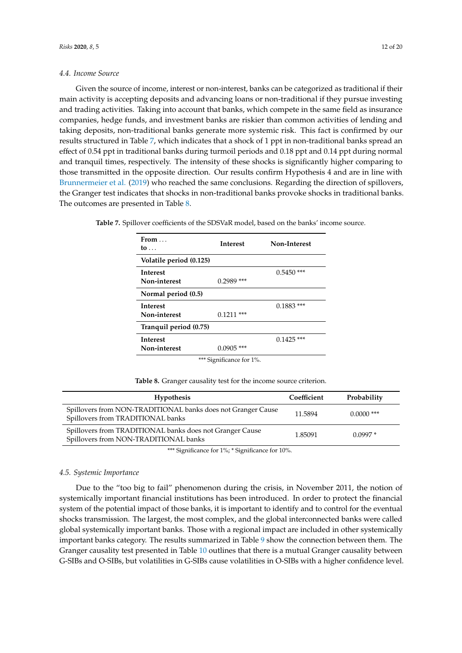## *4.4. Income Source*

Given the source of income, interest or non-interest, banks can be categorized as traditional if their main activity is accepting deposits and advancing loans or non-traditional if they pursue investing and trading activities. Taking into account that banks, which compete in the same field as insurance companies, hedge funds, and investment banks are riskier than common activities of lending and taking deposits, non-traditional banks generate more systemic risk. This fact is confirmed by our results structured in Table [7,](#page-11-0) which indicates that a shock of 1 ppt in non-traditional banks spread an effect of 0.54 ppt in traditional banks during turmoil periods and 0.18 ppt and 0.14 ppt during normal and tranquil times, respectively. The intensity of these shocks is significantly higher comparing to those transmitted in the opposite direction. Our results confirm Hypothesis 4 and are in line with [Brunnermeier et al.](#page-18-22) [\(2019\)](#page-18-22) who reached the same conclusions. Regarding the direction of spillovers, the Granger test indicates that shocks in non-traditional banks provoke shocks in traditional banks. The outcomes are presented in Table [8.](#page-11-1)

<span id="page-11-0"></span>

| Table 7. Spillover coefficients of the SDSVaR model, based on the banks' income source. |  |
|-----------------------------------------------------------------------------------------|--|
|-----------------------------------------------------------------------------------------|--|

| From $\dots$<br>to $\ldots$ | <b>Interest</b> | Non-Interest  |  |  |  |
|-----------------------------|-----------------|---------------|--|--|--|
| Volatile period (0.125)     |                 |               |  |  |  |
| <b>Interest</b>             |                 | $0.5450$ ***  |  |  |  |
| Non-interest                | $0.2989$ ***    |               |  |  |  |
| Normal period (0.5)         |                 |               |  |  |  |
| <b>Interest</b>             |                 | $0.1883$ ***  |  |  |  |
| Non-interest                | $0.1211$ ***    |               |  |  |  |
| Tranquil period (0.75)      |                 |               |  |  |  |
| <b>Interest</b>             |                 | ***<br>0.1425 |  |  |  |
| Non-interest                | $0.0905$ ***    |               |  |  |  |
| *** Significance for 1%.    |                 |               |  |  |  |

**Table 8.** Granger causality test for the income source criterion.

<span id="page-11-1"></span>

| <b>Hypothesis</b>                                                                                 | Coefficient | Probability  |
|---------------------------------------------------------------------------------------------------|-------------|--------------|
| Spillovers from NON-TRADITIONAL banks does not Granger Cause<br>Spillovers from TRADITIONAL banks | 11.5894     | $0.0000$ *** |
| Spillovers from TRADITIONAL banks does not Granger Cause<br>Spillovers from NON-TRADITIONAL banks | 1.85091     | $0.0997*$    |

\*\*\* Significance for 1%; \* Significance for 10%.

## *4.5. Systemic Importance*

Due to the "too big to fail" phenomenon during the crisis, in November 2011, the notion of systemically important financial institutions has been introduced. In order to protect the financial system of the potential impact of those banks, it is important to identify and to control for the eventual shocks transmission. The largest, the most complex, and the global interconnected banks were called global systemically important banks. Those with a regional impact are included in other systemically important banks category. The results summarized in Table [9](#page-12-1) show the connection between them. The Granger causality test presented in Table [10](#page-12-2) outlines that there is a mutual Granger causality between G-SIBs and O-SIBs, but volatilities in G-SIBs cause volatilities in O-SIBs with a higher confidence level.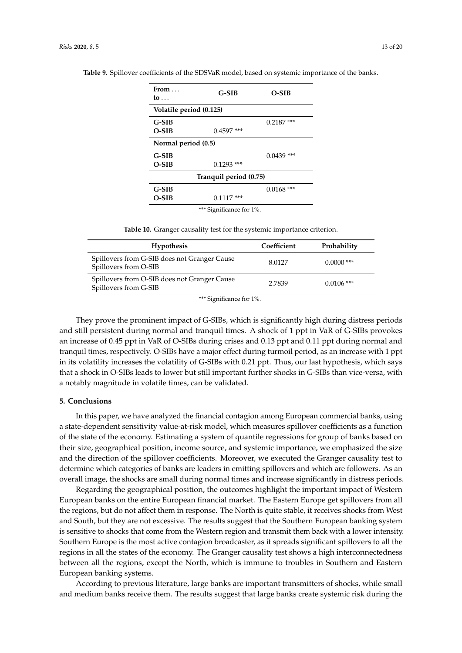| From $\dots$<br>to      | $G-SIB$                                                                 | $O-SIB$      |
|-------------------------|-------------------------------------------------------------------------|--------------|
| Volatile period (0.125) |                                                                         |              |
| $G-SIB$<br>$O-SIB$      | $0.4597$ ***                                                            | $0.2187$ *** |
| Normal period (0.5)     |                                                                         |              |
| $G-SIB$                 |                                                                         | $0.0439$ *** |
| $O-SIB$                 | $0.1293$ ***                                                            |              |
|                         | Tranquil period (0.75)                                                  |              |
| $G-SIB$                 |                                                                         | $0.0168$ *** |
| O-SIB                   | $0.1117***$                                                             |              |
|                         | $\cdots$ $\cdots$ $\cdots$ $\cdots$ $\cdots$ $\cdots$ $\cdots$ $\cdots$ |              |

<span id="page-12-1"></span>**Table 9.** Spillover coefficients of the SDSVaR model, based on systemic importance of the banks.

\*\*\* Significance for 1%.

**Table 10.** Granger causality test for the systemic importance criterion.

<span id="page-12-2"></span>

| <b>Hypothesis</b>                                                     | Coefficient | Probability  |  |
|-----------------------------------------------------------------------|-------------|--------------|--|
| Spillovers from G-SIB does not Granger Cause<br>Spillovers from O-SIB | 8.0127      | $0.0000$ *** |  |
| Spillovers from O-SIB does not Granger Cause<br>Spillovers from G-SIB | 2.7839      | $0.0106$ *** |  |

\*\*\* Significance for 1%.

They prove the prominent impact of G-SIBs, which is significantly high during distress periods and still persistent during normal and tranquil times. A shock of 1 ppt in VaR of G-SIBs provokes an increase of 0.45 ppt in VaR of O-SIBs during crises and 0.13 ppt and 0.11 ppt during normal and tranquil times, respectively. O-SIBs have a major effect during turmoil period, as an increase with 1 ppt in its volatility increases the volatility of G-SIBs with 0.21 ppt. Thus, our last hypothesis, which says that a shock in O-SIBs leads to lower but still important further shocks in G-SIBs than vice-versa, with a notably magnitude in volatile times, can be validated.

# <span id="page-12-0"></span>**5. Conclusions**

In this paper, we have analyzed the financial contagion among European commercial banks, using a state-dependent sensitivity value-at-risk model, which measures spillover coefficients as a function of the state of the economy. Estimating a system of quantile regressions for group of banks based on their size, geographical position, income source, and systemic importance, we emphasized the size and the direction of the spillover coefficients. Moreover, we executed the Granger causality test to determine which categories of banks are leaders in emitting spillovers and which are followers. As an overall image, the shocks are small during normal times and increase significantly in distress periods.

Regarding the geographical position, the outcomes highlight the important impact of Western European banks on the entire European financial market. The Eastern Europe get spillovers from all the regions, but do not affect them in response. The North is quite stable, it receives shocks from West and South, but they are not excessive. The results suggest that the Southern European banking system is sensitive to shocks that come from the Western region and transmit them back with a lower intensity. Southern Europe is the most active contagion broadcaster, as it spreads significant spillovers to all the regions in all the states of the economy. The Granger causality test shows a high interconnectedness between all the regions, except the North, which is immune to troubles in Southern and Eastern European banking systems.

According to previous literature, large banks are important transmitters of shocks, while small and medium banks receive them. The results suggest that large banks create systemic risk during the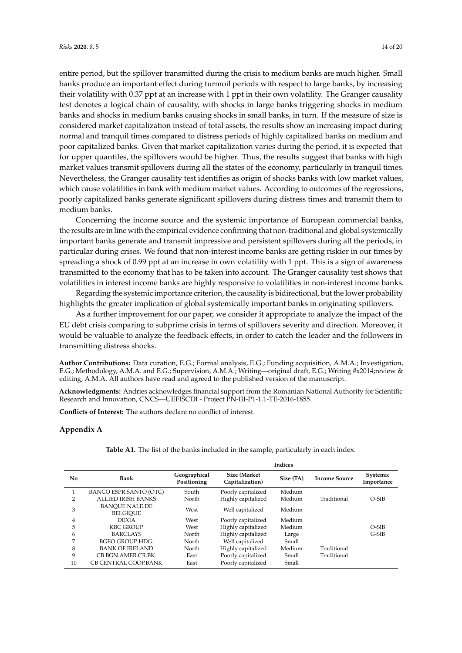entire period, but the spillover transmitted during the crisis to medium banks are much higher. Small banks produce an important effect during turmoil periods with respect to large banks, by increasing their volatility with 0.37 ppt at an increase with 1 ppt in their own volatility. The Granger causality test denotes a logical chain of causality, with shocks in large banks triggering shocks in medium banks and shocks in medium banks causing shocks in small banks, in turn. If the measure of size is considered market capitalization instead of total assets, the results show an increasing impact during normal and tranquil times compared to distress periods of highly capitalized banks on medium and poor capitalized banks. Given that market capitalization varies during the period, it is expected that for upper quantiles, the spillovers would be higher. Thus, the results suggest that banks with high market values transmit spillovers during all the states of the economy, particularly in tranquil times. Nevertheless, the Granger causality test identifies as origin of shocks banks with low market values, which cause volatilities in bank with medium market values. According to outcomes of the regressions, poorly capitalized banks generate significant spillovers during distress times and transmit them to medium banks.

Concerning the income source and the systemic importance of European commercial banks, the results are in line with the empirical evidence confirming that non-traditional and global systemically important banks generate and transmit impressive and persistent spillovers during all the periods, in particular during crises. We found that non-interest income banks are getting riskier in our times by spreading a shock of 0.99 ppt at an increase in own volatility with 1 ppt. This is a sign of awareness transmitted to the economy that has to be taken into account. The Granger causality test shows that volatilities in interest income banks are highly responsive to volatilities in non-interest income banks.

Regarding the systemic importance criterion, the causality is bidirectional, but the lower probability highlights the greater implication of global systemically important banks in originating spillovers.

As a further improvement for our paper, we consider it appropriate to analyze the impact of the EU debt crisis comparing to subprime crisis in terms of spillovers severity and direction. Moreover, it would be valuable to analyze the feedback effects, in order to catch the leader and the followers in transmitting distress shocks.

**Author Contributions:** Data curation, E.G.; Formal analysis, E.G.; Funding acquisition, A.M.A.; Investigation, E.G.; Methodology, A.M.A. and E.G.; Supervision, A.M.A.; Writing—original draft, E.G.; Writing #x2014;review & editing, A.M.A. All authors have read and agreed to the published version of the manuscript.

**Acknowledgments:** Andries acknowledges financial support from the Romanian National Authority for Scientific Research and Innovation, CNCS—UEFISCDI - Project PN-III-P1-1.1-TE-2016-1855.

**Conflicts of Interest:** The authors declare no conflict of interest.

## <span id="page-13-0"></span>**Appendix A**

| Table A1. The list of the banks included in the sample, particularly in each index. |
|-------------------------------------------------------------------------------------|
|-------------------------------------------------------------------------------------|

|     |                                          |                             |                                  | <b>Indices</b> |                      |                        |
|-----|------------------------------------------|-----------------------------|----------------------------------|----------------|----------------------|------------------------|
| No. | Bank                                     | Geographical<br>Positioning | Size (Market)<br>Capitalization) | Size (TA)      | <b>Income Source</b> | Systemic<br>Importance |
|     | BANCO ESPR.SANTO (OTC)                   | South                       | Poorly capitalized               | Medium         |                      |                        |
| 2   | <b>ALLIED IRISH BANKS</b>                | North                       | Highly capitalized               | Medium         | Traditional          | $O-SIB$                |
| 3   | <b>BANOUE NALE.DE</b><br><b>BELGIOUE</b> | West                        | Well capitalized                 | Medium         |                      |                        |
| 4   | <b>DEXIA</b>                             | West                        | Poorly capitalized               | Medium         |                      |                        |
| 5   | <b>KBC GROUP</b>                         | West                        | Highly capitalized               | Medium         |                      | $O-SIB$                |
| 6   | <b>BARCLAYS</b>                          | North                       | Highly capitalized               | Large          |                      | $G-SIB$                |
| 7   | <b>BGEO GROUP HDG.</b>                   | North                       | Well capitalized                 | Small          |                      |                        |
| 8   | <b>BANK OF IRELAND</b>                   | North                       | Highly capitalized               | Medium         | Traditional          |                        |
| 9   | CB BGN.AMER.CR.BK.                       | East                        | Poorly capitalized               | Small          | Traditional          |                        |
| 10  | CB CENTRAL COOP.BANK                     | East                        | Poorly capitalized               | Small          |                      |                        |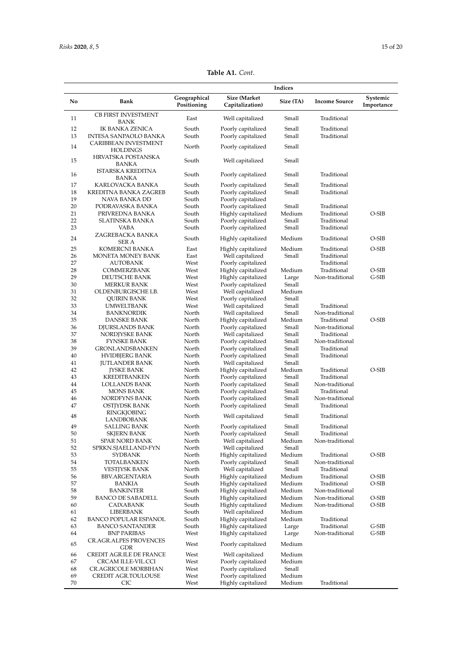| No<br>Bank<br><b>CB FIRST INVESTMENT</b><br>11<br><b>BANK</b><br>12<br>IK BANKA ZENICA<br>13<br>INTESA SANPAOLO BANKA<br><b>CARIBBEAN INVESTMENT</b><br>14<br><b>HOLDINGS</b><br><b>HRVATSKA POSTANSKA</b><br>15<br>BANKA<br>ISTARSKA KREDITNA<br>16<br>BANKA<br>17<br>KARLOVACKA BANKA<br>18<br>KREDITNA BANKA ZAGREB<br>19<br>NAVA BANKA DD<br>20<br>PODRAVASKA BANKA<br>21<br>PRIVREDNA BANKA<br>22<br><b>SLATINSKA BANKA</b><br>23<br>VABA<br>ZAGREBACKA BANKA<br>24<br>SER A<br>25<br>KOMERCNI BANKA<br>26<br>MONETA MONEY BANK<br>27<br>AUTOBANK<br>28<br>COMMERZBANK<br>29<br>DEUTSCHE BANK<br>30<br><b>MERKUR BANK</b><br>31<br>OLDENBURGISCHE LB.<br>32<br>QUIRIN BANK<br>33<br>UMWELTBANK<br>34<br><b>BANKNORDIK</b><br>35<br>DANSKE BANK<br>36<br>DJURSLANDS BANK<br>37<br>NORDJYSKE BANK<br>38<br><b>FYNSKE BANK</b><br>39<br>GRONLANDSBANKEN<br>40<br>HVIDBJERG BANK<br>41<br><b>JUTLANDER BANK</b><br>42<br><b>JYSKE BANK</b><br>43<br>KREDITBANKEN<br>44<br>LOLLANDS BANK<br>45<br><b>MONS BANK</b><br>NORDFYNS BANK<br>46<br>47<br>OSTJYDSK BANK<br>RINGKJOBING<br>48<br>LANDBOBANK<br>49<br><b>SALLING BANK</b><br>50<br><b>SKJERN BANK</b><br>51<br>SPAR NORD BANK<br>52<br>SPRKN.SJAELLAND-FYN<br>53<br>SYDBANK<br>54<br><b>TOTALBANKEN</b><br>55<br><b>VESTJYSK BANK</b><br>56<br><b>BBV.ARGENTARIA</b><br>57<br>BANKIA<br>58<br><b>BANKINTER</b><br>59<br><b>BANCO DE SABADELL</b><br>60<br>CAIXABANK<br>61<br>LIBERBANK<br>62<br><b>BANCO POPULAR ESPANOL</b><br>63<br><b>BANCO SANTANDER</b><br>64<br><b>BNP PARIBAS</b> |                             |                                          |                  |                                |                        |
|-------------------------------------------------------------------------------------------------------------------------------------------------------------------------------------------------------------------------------------------------------------------------------------------------------------------------------------------------------------------------------------------------------------------------------------------------------------------------------------------------------------------------------------------------------------------------------------------------------------------------------------------------------------------------------------------------------------------------------------------------------------------------------------------------------------------------------------------------------------------------------------------------------------------------------------------------------------------------------------------------------------------------------------------------------------------------------------------------------------------------------------------------------------------------------------------------------------------------------------------------------------------------------------------------------------------------------------------------------------------------------------------------------------------------------------------------------------------------------------------------------------------------------------------------|-----------------------------|------------------------------------------|------------------|--------------------------------|------------------------|
|                                                                                                                                                                                                                                                                                                                                                                                                                                                                                                                                                                                                                                                                                                                                                                                                                                                                                                                                                                                                                                                                                                                                                                                                                                                                                                                                                                                                                                                                                                                                                 | Geographical<br>Positioning | Size (Market<br>Capitalization)          | Size (TA)        | <b>Income Source</b>           | Systemic<br>Importance |
|                                                                                                                                                                                                                                                                                                                                                                                                                                                                                                                                                                                                                                                                                                                                                                                                                                                                                                                                                                                                                                                                                                                                                                                                                                                                                                                                                                                                                                                                                                                                                 | East                        | Well capitalized                         | Small            | Traditional                    |                        |
|                                                                                                                                                                                                                                                                                                                                                                                                                                                                                                                                                                                                                                                                                                                                                                                                                                                                                                                                                                                                                                                                                                                                                                                                                                                                                                                                                                                                                                                                                                                                                 | South                       | Poorly capitalized                       | Small            | Traditional                    |                        |
|                                                                                                                                                                                                                                                                                                                                                                                                                                                                                                                                                                                                                                                                                                                                                                                                                                                                                                                                                                                                                                                                                                                                                                                                                                                                                                                                                                                                                                                                                                                                                 | South                       | Poorly capitalized                       | Small            | Traditional                    |                        |
|                                                                                                                                                                                                                                                                                                                                                                                                                                                                                                                                                                                                                                                                                                                                                                                                                                                                                                                                                                                                                                                                                                                                                                                                                                                                                                                                                                                                                                                                                                                                                 | North                       | Poorly capitalized                       | Small            |                                |                        |
|                                                                                                                                                                                                                                                                                                                                                                                                                                                                                                                                                                                                                                                                                                                                                                                                                                                                                                                                                                                                                                                                                                                                                                                                                                                                                                                                                                                                                                                                                                                                                 | South                       | Well capitalized                         | Small            |                                |                        |
|                                                                                                                                                                                                                                                                                                                                                                                                                                                                                                                                                                                                                                                                                                                                                                                                                                                                                                                                                                                                                                                                                                                                                                                                                                                                                                                                                                                                                                                                                                                                                 | South                       | Poorly capitalized                       | Small            | Traditional                    |                        |
|                                                                                                                                                                                                                                                                                                                                                                                                                                                                                                                                                                                                                                                                                                                                                                                                                                                                                                                                                                                                                                                                                                                                                                                                                                                                                                                                                                                                                                                                                                                                                 | South                       | Poorly capitalized                       | Small            | Traditional                    |                        |
|                                                                                                                                                                                                                                                                                                                                                                                                                                                                                                                                                                                                                                                                                                                                                                                                                                                                                                                                                                                                                                                                                                                                                                                                                                                                                                                                                                                                                                                                                                                                                 | South                       | Poorly capitalized                       | Small            | Traditional                    |                        |
|                                                                                                                                                                                                                                                                                                                                                                                                                                                                                                                                                                                                                                                                                                                                                                                                                                                                                                                                                                                                                                                                                                                                                                                                                                                                                                                                                                                                                                                                                                                                                 | South                       | Poorly capitalized                       |                  |                                |                        |
|                                                                                                                                                                                                                                                                                                                                                                                                                                                                                                                                                                                                                                                                                                                                                                                                                                                                                                                                                                                                                                                                                                                                                                                                                                                                                                                                                                                                                                                                                                                                                 | South                       | Poorly capitalized                       | Small            | Traditional                    |                        |
|                                                                                                                                                                                                                                                                                                                                                                                                                                                                                                                                                                                                                                                                                                                                                                                                                                                                                                                                                                                                                                                                                                                                                                                                                                                                                                                                                                                                                                                                                                                                                 | South                       | Highly capitalized                       | Medium           | Traditional                    | O-SIB                  |
|                                                                                                                                                                                                                                                                                                                                                                                                                                                                                                                                                                                                                                                                                                                                                                                                                                                                                                                                                                                                                                                                                                                                                                                                                                                                                                                                                                                                                                                                                                                                                 | South                       | Poorly capitalized                       | Small            | Traditional                    |                        |
|                                                                                                                                                                                                                                                                                                                                                                                                                                                                                                                                                                                                                                                                                                                                                                                                                                                                                                                                                                                                                                                                                                                                                                                                                                                                                                                                                                                                                                                                                                                                                 | South<br>South              | Poorly capitalized<br>Highly capitalized | Small<br>Medium  | Traditional<br>Traditional     | O-SIB                  |
|                                                                                                                                                                                                                                                                                                                                                                                                                                                                                                                                                                                                                                                                                                                                                                                                                                                                                                                                                                                                                                                                                                                                                                                                                                                                                                                                                                                                                                                                                                                                                 | East                        | Highly capitalized                       | Medium           | Traditional                    | O-SIB                  |
|                                                                                                                                                                                                                                                                                                                                                                                                                                                                                                                                                                                                                                                                                                                                                                                                                                                                                                                                                                                                                                                                                                                                                                                                                                                                                                                                                                                                                                                                                                                                                 | East                        | Well capitalized                         | Small            | Traditional                    |                        |
|                                                                                                                                                                                                                                                                                                                                                                                                                                                                                                                                                                                                                                                                                                                                                                                                                                                                                                                                                                                                                                                                                                                                                                                                                                                                                                                                                                                                                                                                                                                                                 | West                        | Poorly capitalized                       |                  | Traditional                    |                        |
|                                                                                                                                                                                                                                                                                                                                                                                                                                                                                                                                                                                                                                                                                                                                                                                                                                                                                                                                                                                                                                                                                                                                                                                                                                                                                                                                                                                                                                                                                                                                                 | West                        | Highly capitalized                       | Medium           | Traditional                    | O-SIB                  |
|                                                                                                                                                                                                                                                                                                                                                                                                                                                                                                                                                                                                                                                                                                                                                                                                                                                                                                                                                                                                                                                                                                                                                                                                                                                                                                                                                                                                                                                                                                                                                 | West                        | Highly capitalized                       | Large            | Non-traditional                | $G-SIB$                |
|                                                                                                                                                                                                                                                                                                                                                                                                                                                                                                                                                                                                                                                                                                                                                                                                                                                                                                                                                                                                                                                                                                                                                                                                                                                                                                                                                                                                                                                                                                                                                 | West                        | Poorly capitalized                       | Small            |                                |                        |
|                                                                                                                                                                                                                                                                                                                                                                                                                                                                                                                                                                                                                                                                                                                                                                                                                                                                                                                                                                                                                                                                                                                                                                                                                                                                                                                                                                                                                                                                                                                                                 | West                        | Well capitalized                         | Medium           |                                |                        |
|                                                                                                                                                                                                                                                                                                                                                                                                                                                                                                                                                                                                                                                                                                                                                                                                                                                                                                                                                                                                                                                                                                                                                                                                                                                                                                                                                                                                                                                                                                                                                 | West                        | Poorly capitalized                       | Small            |                                |                        |
|                                                                                                                                                                                                                                                                                                                                                                                                                                                                                                                                                                                                                                                                                                                                                                                                                                                                                                                                                                                                                                                                                                                                                                                                                                                                                                                                                                                                                                                                                                                                                 | West                        | Well capitalized                         | Small            | Traditional                    |                        |
|                                                                                                                                                                                                                                                                                                                                                                                                                                                                                                                                                                                                                                                                                                                                                                                                                                                                                                                                                                                                                                                                                                                                                                                                                                                                                                                                                                                                                                                                                                                                                 | North                       | Well capitalized                         | Small            | Non-traditional                |                        |
|                                                                                                                                                                                                                                                                                                                                                                                                                                                                                                                                                                                                                                                                                                                                                                                                                                                                                                                                                                                                                                                                                                                                                                                                                                                                                                                                                                                                                                                                                                                                                 | North                       | Highly capitalized                       | Medium<br>Small  | Traditional<br>Non-traditional | O-SIB                  |
|                                                                                                                                                                                                                                                                                                                                                                                                                                                                                                                                                                                                                                                                                                                                                                                                                                                                                                                                                                                                                                                                                                                                                                                                                                                                                                                                                                                                                                                                                                                                                 | North<br>North              | Poorly capitalized                       | Small            | Traditional                    |                        |
|                                                                                                                                                                                                                                                                                                                                                                                                                                                                                                                                                                                                                                                                                                                                                                                                                                                                                                                                                                                                                                                                                                                                                                                                                                                                                                                                                                                                                                                                                                                                                 | North                       | Well capitalized<br>Poorly capitalized   | Small            | Non-traditional                |                        |
|                                                                                                                                                                                                                                                                                                                                                                                                                                                                                                                                                                                                                                                                                                                                                                                                                                                                                                                                                                                                                                                                                                                                                                                                                                                                                                                                                                                                                                                                                                                                                 | North                       | Poorly capitalized                       | Small            | Traditional                    |                        |
|                                                                                                                                                                                                                                                                                                                                                                                                                                                                                                                                                                                                                                                                                                                                                                                                                                                                                                                                                                                                                                                                                                                                                                                                                                                                                                                                                                                                                                                                                                                                                 | North                       | Poorly capitalized                       | Small            | Traditional                    |                        |
|                                                                                                                                                                                                                                                                                                                                                                                                                                                                                                                                                                                                                                                                                                                                                                                                                                                                                                                                                                                                                                                                                                                                                                                                                                                                                                                                                                                                                                                                                                                                                 | North                       | Well capitalized                         | Small            |                                |                        |
|                                                                                                                                                                                                                                                                                                                                                                                                                                                                                                                                                                                                                                                                                                                                                                                                                                                                                                                                                                                                                                                                                                                                                                                                                                                                                                                                                                                                                                                                                                                                                 | North                       | Highly capitalized                       | Medium           | Traditional                    | $O-SIB$                |
|                                                                                                                                                                                                                                                                                                                                                                                                                                                                                                                                                                                                                                                                                                                                                                                                                                                                                                                                                                                                                                                                                                                                                                                                                                                                                                                                                                                                                                                                                                                                                 | North                       | Poorly capitalized                       | Small            | Traditional                    |                        |
|                                                                                                                                                                                                                                                                                                                                                                                                                                                                                                                                                                                                                                                                                                                                                                                                                                                                                                                                                                                                                                                                                                                                                                                                                                                                                                                                                                                                                                                                                                                                                 | North                       | Poorly capitalized                       | Small            | Non-traditional                |                        |
|                                                                                                                                                                                                                                                                                                                                                                                                                                                                                                                                                                                                                                                                                                                                                                                                                                                                                                                                                                                                                                                                                                                                                                                                                                                                                                                                                                                                                                                                                                                                                 | North                       | Poorly capitalized                       | Small            | Traditional                    |                        |
|                                                                                                                                                                                                                                                                                                                                                                                                                                                                                                                                                                                                                                                                                                                                                                                                                                                                                                                                                                                                                                                                                                                                                                                                                                                                                                                                                                                                                                                                                                                                                 | North                       | Poorly capitalized                       | Small            | Non-traditional                |                        |
|                                                                                                                                                                                                                                                                                                                                                                                                                                                                                                                                                                                                                                                                                                                                                                                                                                                                                                                                                                                                                                                                                                                                                                                                                                                                                                                                                                                                                                                                                                                                                 | North                       | Poorly capitalized                       | Small            | Traditional                    |                        |
|                                                                                                                                                                                                                                                                                                                                                                                                                                                                                                                                                                                                                                                                                                                                                                                                                                                                                                                                                                                                                                                                                                                                                                                                                                                                                                                                                                                                                                                                                                                                                 | North                       | Well capitalized                         | Small            | Traditional                    |                        |
|                                                                                                                                                                                                                                                                                                                                                                                                                                                                                                                                                                                                                                                                                                                                                                                                                                                                                                                                                                                                                                                                                                                                                                                                                                                                                                                                                                                                                                                                                                                                                 | North                       | Poorly capitalized                       | Small            | Traditional                    |                        |
|                                                                                                                                                                                                                                                                                                                                                                                                                                                                                                                                                                                                                                                                                                                                                                                                                                                                                                                                                                                                                                                                                                                                                                                                                                                                                                                                                                                                                                                                                                                                                 | North<br>North              | Poorly capitalized<br>Well capitalized   | Small<br>Medium  | Traditional<br>Non-traditional |                        |
|                                                                                                                                                                                                                                                                                                                                                                                                                                                                                                                                                                                                                                                                                                                                                                                                                                                                                                                                                                                                                                                                                                                                                                                                                                                                                                                                                                                                                                                                                                                                                 | North                       | Well capitalized                         | Small            |                                |                        |
|                                                                                                                                                                                                                                                                                                                                                                                                                                                                                                                                                                                                                                                                                                                                                                                                                                                                                                                                                                                                                                                                                                                                                                                                                                                                                                                                                                                                                                                                                                                                                 | North                       | Highly capitalized                       | Medium           | Traditional                    | O-SIB                  |
|                                                                                                                                                                                                                                                                                                                                                                                                                                                                                                                                                                                                                                                                                                                                                                                                                                                                                                                                                                                                                                                                                                                                                                                                                                                                                                                                                                                                                                                                                                                                                 | North                       | Poorly capitalized                       | Small            | Non-traditional                |                        |
|                                                                                                                                                                                                                                                                                                                                                                                                                                                                                                                                                                                                                                                                                                                                                                                                                                                                                                                                                                                                                                                                                                                                                                                                                                                                                                                                                                                                                                                                                                                                                 | North                       | Well capitalized                         | Small            | Traditional                    |                        |
|                                                                                                                                                                                                                                                                                                                                                                                                                                                                                                                                                                                                                                                                                                                                                                                                                                                                                                                                                                                                                                                                                                                                                                                                                                                                                                                                                                                                                                                                                                                                                 | South                       | Highly capitalized                       | Medium           | Traditional                    | O-SIB                  |
|                                                                                                                                                                                                                                                                                                                                                                                                                                                                                                                                                                                                                                                                                                                                                                                                                                                                                                                                                                                                                                                                                                                                                                                                                                                                                                                                                                                                                                                                                                                                                 | South                       | Highly capitalized                       | Medium           | Traditional                    | O-SIB                  |
|                                                                                                                                                                                                                                                                                                                                                                                                                                                                                                                                                                                                                                                                                                                                                                                                                                                                                                                                                                                                                                                                                                                                                                                                                                                                                                                                                                                                                                                                                                                                                 | South                       | Highly capitalized                       | Medium           | Non-traditional                |                        |
|                                                                                                                                                                                                                                                                                                                                                                                                                                                                                                                                                                                                                                                                                                                                                                                                                                                                                                                                                                                                                                                                                                                                                                                                                                                                                                                                                                                                                                                                                                                                                 | South                       | Highly capitalized                       | Medium           | Non-traditional                | O-SIB                  |
|                                                                                                                                                                                                                                                                                                                                                                                                                                                                                                                                                                                                                                                                                                                                                                                                                                                                                                                                                                                                                                                                                                                                                                                                                                                                                                                                                                                                                                                                                                                                                 | South                       | Highly capitalized                       | Medium           | Non-traditional                | $O-SIB$                |
|                                                                                                                                                                                                                                                                                                                                                                                                                                                                                                                                                                                                                                                                                                                                                                                                                                                                                                                                                                                                                                                                                                                                                                                                                                                                                                                                                                                                                                                                                                                                                 | South                       | Well capitalized                         | Medium           |                                |                        |
|                                                                                                                                                                                                                                                                                                                                                                                                                                                                                                                                                                                                                                                                                                                                                                                                                                                                                                                                                                                                                                                                                                                                                                                                                                                                                                                                                                                                                                                                                                                                                 | South                       | Highly capitalized                       | Medium           | Traditional                    |                        |
|                                                                                                                                                                                                                                                                                                                                                                                                                                                                                                                                                                                                                                                                                                                                                                                                                                                                                                                                                                                                                                                                                                                                                                                                                                                                                                                                                                                                                                                                                                                                                 | South<br>West               | Highly capitalized<br>Highly capitalized | Large<br>Large   | Traditional<br>Non-traditional | $G-SIB$<br>$G-SIB$     |
| CR.AGR.ALPES PROVENCES<br>65<br>GDR                                                                                                                                                                                                                                                                                                                                                                                                                                                                                                                                                                                                                                                                                                                                                                                                                                                                                                                                                                                                                                                                                                                                                                                                                                                                                                                                                                                                                                                                                                             | West                        | Poorly capitalized                       | Medium           |                                |                        |
| 66<br>CREDIT AGR.ILE DE FRANCE                                                                                                                                                                                                                                                                                                                                                                                                                                                                                                                                                                                                                                                                                                                                                                                                                                                                                                                                                                                                                                                                                                                                                                                                                                                                                                                                                                                                                                                                                                                  | West                        | Well capitalized                         | Medium           |                                |                        |
| 67<br>CRCAM ILLE-VIL.CCI                                                                                                                                                                                                                                                                                                                                                                                                                                                                                                                                                                                                                                                                                                                                                                                                                                                                                                                                                                                                                                                                                                                                                                                                                                                                                                                                                                                                                                                                                                                        | West                        | Poorly capitalized                       | Medium           |                                |                        |
| 68<br>CR.AGRICOLE MORBIHAN                                                                                                                                                                                                                                                                                                                                                                                                                                                                                                                                                                                                                                                                                                                                                                                                                                                                                                                                                                                                                                                                                                                                                                                                                                                                                                                                                                                                                                                                                                                      | West                        | Poorly capitalized                       | Small            |                                |                        |
| 69<br>CREDIT AGR.TOULOUSE<br>70<br>CIC                                                                                                                                                                                                                                                                                                                                                                                                                                                                                                                                                                                                                                                                                                                                                                                                                                                                                                                                                                                                                                                                                                                                                                                                                                                                                                                                                                                                                                                                                                          | West<br>West                | Poorly capitalized<br>Highly capitalized | Medium<br>Medium | Traditional                    |                        |

**Table A1.** *Cont*.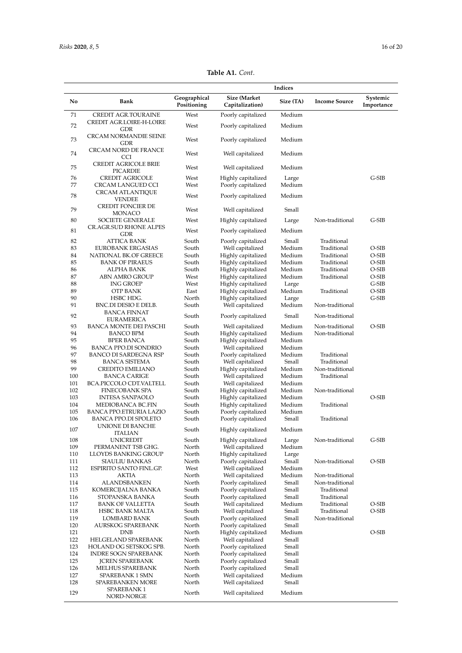|            |                                                  |                             |                                          | Indices         |                      |                        |
|------------|--------------------------------------------------|-----------------------------|------------------------------------------|-----------------|----------------------|------------------------|
| No         | Bank                                             | Geographical<br>Positioning | Size (Market<br>Capitalization)          | Size (TA)       | <b>Income Source</b> | Systemic<br>Importance |
| 71         | <b>CREDIT AGR.TOURAINE</b>                       | West                        | Poorly capitalized                       | Medium          |                      |                        |
| 72         | CREDIT AGR.LOIRE-H-LOIRE<br>GDR                  | West                        | Poorly capitalized                       | Medium          |                      |                        |
| 73         | <b>CRCAM NORMANDIE SEINE</b><br>GDR              | West                        | Poorly capitalized                       | Medium          |                      |                        |
| 74         | <b>CRCAM NORD DE FRANCE</b><br><b>CCI</b>        | West                        | Well capitalized                         | Medium          |                      |                        |
| 75         | <b>CREDIT AGRICOLE BRIE</b><br>PICARDIE          | West                        | Well capitalized                         | Medium          |                      |                        |
| 76<br>77   | <b>CREDIT AGRICOLE</b><br>CRCAM LANGUED CCI      | West<br>West                | Highly capitalized<br>Poorly capitalized | Large<br>Medium |                      | $G-SIB$                |
| 78         | CRCAM ATLANTIQUE                                 | West                        | Poorly capitalized                       | Medium          |                      |                        |
| 79         | <b>VENDEE</b><br>CREDIT FONCIER DE               | West                        | Well capitalized                         | Small           |                      |                        |
| 80         | MONACO<br><b>SOCIETE GENERALE</b>                | West                        | Highly capitalized                       | Large           | Non-traditional      | $G-SIB$                |
| 81         | CR.AGR.SUD RHONE ALPES<br>GDR                    | West                        | Poorly capitalized                       | Medium          |                      |                        |
| 82         | ATTICA BANK                                      | South                       | Poorly capitalized                       | Small           | Traditional          |                        |
| 83         | <b>EUROBANK ERGASIAS</b>                         | South                       | Well capitalized                         | Medium          | Traditional          | O-SIB                  |
| 84         | NATIONAL BK.OF GREECE                            | South                       | Highly capitalized                       | Medium          | Traditional          | O-SIB                  |
| 85         | <b>BANK OF PIRAEUS</b>                           | South                       | Highly capitalized                       | Medium          | Traditional          | O-SIB                  |
| 86         | ALPHA BANK                                       | South                       | Highly capitalized                       | Medium          | Traditional          | O-SIB                  |
| 87         | <b>ABN AMRO GROUP</b>                            | West                        | Highly capitalized                       | Medium          | Traditional          | O-SIB                  |
| 88         | <b>ING GROEP</b>                                 | West                        | Highly capitalized                       | Large           |                      | G-SIB                  |
| 89         | OTP BANK                                         | East                        | Highly capitalized                       | Medium          | Traditional          | O-SIB                  |
| 90         | HSBC HDG.                                        | North                       | Highly capitalized                       | Large           |                      | $G-SHB$                |
| 91         | BNC.DI DESIO E DELB.<br>BANCA FINNAT             | South                       | Well capitalized                         | Medium          | Non-traditional      |                        |
| 92         | <b>EURAMERICA</b>                                | South                       | Poorly capitalized                       | Small           | Non-traditional      |                        |
| 93         | BANCA MONTE DEI PASCHI                           | South                       | Well capitalized                         | Medium          | Non-traditional      | O-SIB                  |
| 94         | <b>BANCO BPM</b>                                 | South                       | Highly capitalized                       | Medium          | Non-traditional      |                        |
| 95         | BPER BANCA                                       | South                       | Highly capitalized                       | Medium          |                      |                        |
| 96         | <b>BANCA PPO.DI SONDRIO</b>                      | South                       | Well capitalized                         | Medium          |                      |                        |
| 97         | BANCO DI SARDEGNA RSP                            | South                       | Poorly capitalized                       | Medium          | Traditional          |                        |
| 98         | <b>BANCA SISTEMA</b>                             | South                       | Well capitalized                         | Small           | Traditional          |                        |
| 99         | CREDITO EMILIANO                                 | South                       | Highly capitalized                       | Medium          | Non-traditional      |                        |
| 100        | <b>BANCA CARIGE</b>                              | South                       | Well capitalized                         | Medium          | Traditional          |                        |
| 101        | BCA.PICCOLO CDT.VALTELL                          | South                       | Well capitalized                         | Medium          |                      |                        |
| 102        | FINECOBANK SPA                                   | South                       | Highly capitalized                       | Medium          | Non-traditional      |                        |
| 103        | <b>INTESA SANPAOLO</b>                           | South                       | Highly capitalized                       | Medium          |                      | O-SIB                  |
| 104        | MEDIOBANCA BC.FIN                                | South                       | Highly capitalized                       | Medium          | Traditional          |                        |
| 105        | BANCA PPO.ETRURIA LAZIO                          | South                       | Poorly capitalized                       | Medium          |                      |                        |
| 106        | BANCA PPO.DI SPOLETO<br>UNIONE DI BANCHE         | South                       | Poorly capitalized                       | Small           | Traditional          |                        |
| 107        | <b>ITALIAN</b>                                   | South                       | Highly capitalized                       | Medium          |                      |                        |
| 108        | <b>UNICREDIT</b>                                 | South                       | Highly capitalized                       | Large           | Non-traditional      | G-SIB                  |
| 109        | PERMANENT TSB GHG.                               | North                       | Well capitalized                         | Medium          |                      |                        |
| 110        | LLOYDS BANKING GROUP                             | North                       | Highly capitalized                       | Large           |                      |                        |
| 111<br>112 | <b>SIAULIU BANKAS</b><br>ESPIRITO SANTO FINL.GP. | North<br>West               | Poorly capitalized                       | Small<br>Medium | Non-traditional      | O-SIB                  |
| 113        | AKTIA                                            | North                       | Well capitalized<br>Well capitalized     | Medium          | Non-traditional      |                        |
| 114        | ALANDSBANKEN                                     | North                       | Poorly capitalized                       | Small           | Non-traditional      |                        |
| 115        | KOMERCIJALNA BANKA                               | South                       | Poorly capitalized                       | Small           | Traditional          |                        |
| 116        | STOPANSKA BANKA                                  | South                       | Poorly capitalized                       | Small           | Traditional          |                        |
| 117        | <b>BANK OF VALLETTA</b>                          | South                       | Well capitalized                         | Medium          | Traditional          | O-SIB                  |
| 118        | HSBC BANK MALTA                                  | South                       | Well capitalized                         | Small           | Traditional          | O-SIB                  |
| 119        | <b>LOMBARD BANK</b>                              | South                       | Poorly capitalized                       | Small           | Non-traditional      |                        |
| 120        | AURSKOG SPAREBANK                                | North                       | Poorly capitalized                       | Small           |                      |                        |
| 121        | <b>DNB</b>                                       | North                       | Highly capitalized                       | Medium          |                      | O-SIB                  |
| 122        | HELGELAND SPAREBANK                              | North                       | Well capitalized                         | Small           |                      |                        |
| 123        | HOLAND OG SETSKOG SPB.                           | North                       | Poorly capitalized                       | Small           |                      |                        |
| 124        | <b>INDRE SOGN SPAREBANK</b>                      | North                       | Poorly capitalized                       | Small           |                      |                        |
| 125        | JCREN SPAREBANK                                  | North                       | Poorly capitalized                       | Small           |                      |                        |
| 126        | MELHUS SPAREBANK                                 | North                       | Poorly capitalized                       | Small           |                      |                        |
| 127        | SPAREBANK 1 SMN                                  | North                       | Well capitalized                         | Medium          |                      |                        |
| 128        | SPAREBANKEN MORE                                 | North                       | Well capitalized                         | Small           |                      |                        |
|            | SPAREBANK 1                                      |                             | Well capitalized                         | Medium          |                      |                        |

**Table A1.** *Cont*.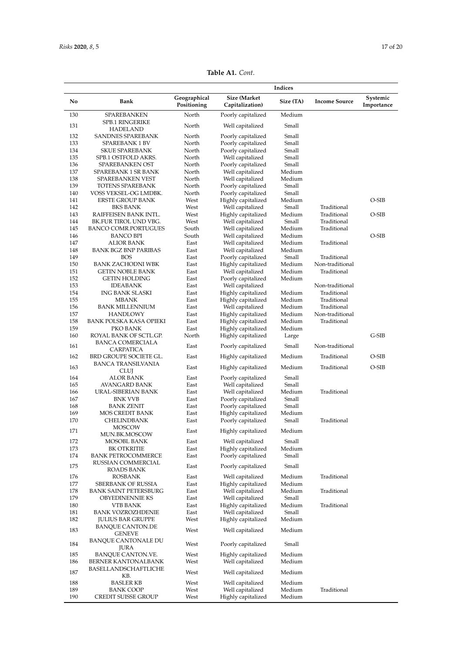| <b>Table A1.</b> Cont. |  |
|------------------------|--|
|------------------------|--|

|            |                                                |                             |                                          | Indices          |                            |                        |
|------------|------------------------------------------------|-----------------------------|------------------------------------------|------------------|----------------------------|------------------------|
| No         | Bank                                           | Geographical<br>Positioning | Size (Market<br>Capitalization)          | Size (TA)        | <b>Income Source</b>       | Systemic<br>Importance |
| 130        | <b>SPAREBANKEN</b>                             | North                       | Poorly capitalized                       | Medium           |                            |                        |
| 131        | <b>SPB.1 RINGERIKE</b><br>HADELAND             | North                       | Well capitalized                         | Small            |                            |                        |
| 132        | <b>SANDNES SPAREBANK</b>                       | North                       | Poorly capitalized                       | Small            |                            |                        |
| 133        | <b>SPAREBANK 1 BV</b>                          | North                       | Poorly capitalized                       | Small            |                            |                        |
| 134        | <b>SKUE SPAREBANK</b>                          | North                       | Poorly capitalized                       | Small            |                            |                        |
| 135        | SPB.1 OSTFOLD AKRS.                            | North                       | Well capitalized                         | Small<br>Small   |                            |                        |
| 136<br>137 | SPAREBANKEN OST<br>SPAREBANK 1 SR BANK         | North<br>North              | Poorly capitalized<br>Well capitalized   | Medium           |                            |                        |
| 138        | SPAREBANKEN VEST                               | North                       | Well capitalized                         | Medium           |                            |                        |
| 139        | TOTENS SPAREBANK                               | North                       | Poorly capitalized                       | Small            |                            |                        |
| 140        | VOSS VEKSEL-OG LMDBK.                          | North                       | Poorly capitalized                       | Small            |                            |                        |
| 141        | <b>ERSTE GROUP BANK</b>                        | West                        | Highly capitalized                       | Medium           |                            | $O-SIB$                |
| 142        | <b>BKS BANK</b>                                | West                        | Well capitalized                         | Small            | Traditional                |                        |
| 143<br>144 | RAIFFEISEN BANK INTL.<br>BK.FUR TIROL UND VBG. | West<br>West                | Highly capitalized<br>Well capitalized   | Medium<br>Small  | Traditional<br>Traditional | O-SIB                  |
| 145        | <b>BANCO COMR.PORTUGUES</b>                    | South                       | Well capitalized                         | Medium           | Traditional                |                        |
| 146        | <b>BANCO BPI</b>                               | South                       | Well capitalized                         | Medium           |                            | O-SIB                  |
| 147        | <b>ALIOR BANK</b>                              | East                        | Well capitalized                         | Medium           | Traditional                |                        |
| 148        | <b>BANK BGZ BNP PARIBAS</b>                    | East                        | Well capitalized                         | Medium           |                            |                        |
| 149        | <b>BOS</b>                                     | East                        | Poorly capitalized                       | Small            | Traditional                |                        |
| 150        | <b>BANK ZACHODNI WBK</b>                       | East                        | Highly capitalized                       | Medium           | Non-traditional            |                        |
| 151<br>152 | GETIN NOBLE BANK<br><b>GETIN HOLDING</b>       | East<br>East                | Well capitalized<br>Poorly capitalized   | Medium<br>Medium | Traditional                |                        |
| 153        | <b>IDEABANK</b>                                | East                        | Well capitalized                         |                  | Non-traditional            |                        |
| 154        | <b>ING BANK SLASKI</b>                         | East                        | Highly capitalized                       | Medium           | Traditional                |                        |
| 155        | <b>MBANK</b>                                   | East                        | Highly capitalized                       | Medium           | Traditional                |                        |
| 156        | <b>BANK MILLENNIUM</b>                         | East                        | Well capitalized                         | Medium           | Traditional                |                        |
| 157        | <b>HANDLOWY</b>                                | East                        | Highly capitalized                       | Medium           | Non-traditional            |                        |
| 158<br>159 | BANK POLSKA KASA OPIEKI<br>PKO BANK            | East<br>East                | Highly capitalized<br>Highly capitalized | Medium<br>Medium | Traditional                |                        |
| 160        | ROYAL BANK OF SCTL.GP.                         | North                       | Highly capitalized                       | Large            |                            | $G-SIB$                |
| 161        | <b>BANCA COMERCIALA</b><br>CARPATICA           | East                        | Poorly capitalized                       | Small            | Non-traditional            |                        |
| 162        | BRD GROUPE SOCIETE GL.                         | East                        | Highly capitalized                       | Medium           | Traditional                | $O-SIB$                |
| 163        | BANCA TRANSILVANIA<br>CLUJ                     | East                        | Highly capitalized                       | Medium           | Traditional                | O-SIB                  |
| 164        | ALOR BANK                                      | East                        | Poorly capitalized                       | Small            |                            |                        |
| 165        | <b>AVANGARD BANK</b>                           | East                        | Well capitalized                         | Small            |                            |                        |
| 166<br>167 | URAL-SIBERIAN BANK<br><b>BNK VVB</b>           | East                        | Well capitalized                         | Medium<br>Small  | Traditional                |                        |
| 168        | <b>BANK ZENIT</b>                              | East<br>East                | Poorly capitalized<br>Poorly capitalized | Small            |                            |                        |
| 169        | MOS CREDIT BANK                                | East                        | Highly capitalized                       | Medium           |                            |                        |
| 170        | <b>CHELINDBANK</b>                             | East                        | Poorly capitalized                       | Small            | Traditional                |                        |
| 171        | <b>MOSCOW</b>                                  | East                        | Highly capitalized                       | Medium           |                            |                        |
| 172        | MUN.BK.MOSCOW<br>MOSOBL BANK                   | East                        | Well capitalized                         | Small            |                            |                        |
| 173        | BK OTKRITIE                                    | East                        | Highly capitalized                       | Medium           |                            |                        |
| 174        | <b>BANK PETROCOMMERCE</b>                      | East                        | Poorly capitalized                       | Small            |                            |                        |
| 175        | RUSSIAN COMMERCIAL<br>ROADS BANK               | East                        | Poorly capitalized                       | Small            |                            |                        |
| 176        | <b>ROSBANK</b>                                 | East                        | Well capitalized                         | Medium           | Traditional                |                        |
| 177        | SBERBANK OF RUSSIA                             | East                        | Highly capitalized                       | Medium           |                            |                        |
| 178        | <b>BANK SAINT PETERSBURG</b>                   | East                        | Well capitalized                         | Medium           | Traditional                |                        |
| 179        | <b>OBYEDINENNIE KS</b>                         | East                        | Well capitalized                         | Small<br>Medium  |                            |                        |
| 180<br>181 | <b>VTB BANK</b><br>BANK VOZROZHDENIE           | East<br>East                | Highly capitalized<br>Well capitalized   | Small            | Traditional                |                        |
| 182        | <b>JULIUS BAR GRUPPE</b>                       | West                        | Highly capitalized                       | Medium           |                            |                        |
| 183        | <b>BANQUE CANTON.DE</b><br><b>GENEVE</b>       | West                        | Well capitalized                         | Medium           |                            |                        |
| 184        | <b>BANQUE CANTONALE DU</b><br>JURA             | West                        | Poorly capitalized                       | Small            |                            |                        |
| 185        | BANQUE CANTON.VE.                              | West                        | Highly capitalized                       | Medium           |                            |                        |
| 186        | BERNER KANTONALBANK                            | West                        | Well capitalized                         | Medium           |                            |                        |
| 187        | BASELLANDSCHAFTLICHE<br>KB.                    | West                        | Well capitalized                         | Medium           |                            |                        |
| 188        | <b>BASLER KB</b>                               | West                        | Well capitalized                         | Medium           |                            |                        |
| 189        | <b>BANK COOP</b>                               | West                        | Well capitalized                         | Medium           | Traditional                |                        |
| 190        | CREDIT SUISSE GROUP                            | West                        | Highly capitalized                       | Medium           |                            |                        |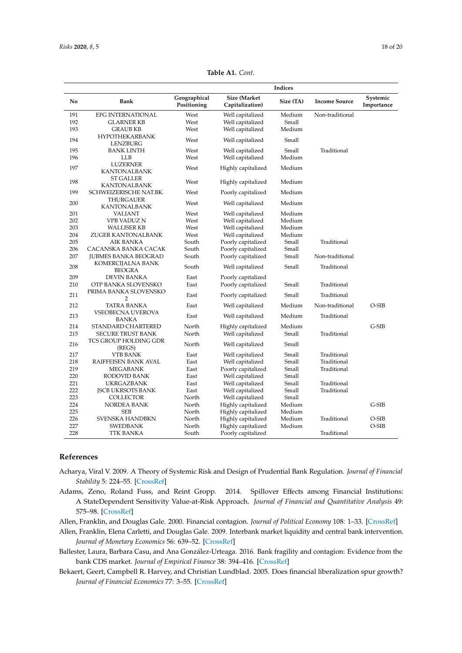|     |                                    | Indices                     |                                        |           |                      |                        |
|-----|------------------------------------|-----------------------------|----------------------------------------|-----------|----------------------|------------------------|
| No  | Bank                               | Geographical<br>Positioning | <b>Size (Market</b><br>Capitalization) | Size (TA) | <b>Income Source</b> | Systemic<br>Importance |
| 191 | <b>EFG INTERNATIONAL</b>           | West                        | Well capitalized                       | Medium    | Non-traditional      |                        |
| 192 | <b>GLARNER KB</b>                  | West                        | Well capitalized                       | Small     |                      |                        |
| 193 | <b>GRAUB KB</b>                    | West                        | Well capitalized                       | Medium    |                      |                        |
| 194 | <b>HYPOTHEKARBANK</b><br>LENZBURG  | West                        | Well capitalized                       | Small     |                      |                        |
| 195 | <b>BANK LINTH</b>                  | West                        | Well capitalized                       | Small     | Traditional          |                        |
| 196 | <b>LLB</b>                         | West                        | Well capitalized                       | Medium    |                      |                        |
| 197 | LUZERNER<br><b>KANTONALBANK</b>    | West                        | Highly capitalized                     | Medium    |                      |                        |
| 198 | <b>ST GALLER</b><br>KANTONALBANK   | West                        | Highly capitalized                     | Medium    |                      |                        |
| 199 | SCHWEIZERISCHE NAT.BK.             | West                        | Poorly capitalized                     | Medium    |                      |                        |
| 200 | THURGAUER<br>KANTONALBANK          | West                        | Well capitalized                       | Medium    |                      |                        |
| 201 | VALIANT                            | West                        | Well capitalized                       | Medium    |                      |                        |
| 202 | VPB VADUZ N                        | West                        | Well capitalized                       | Medium    |                      |                        |
| 203 | <b>WALLISER KB</b>                 | West                        | Well capitalized                       | Medium    |                      |                        |
| 204 | ZUGER KANTONALBANK                 | West                        | Well capitalized                       | Medium    |                      |                        |
| 205 | AIK BANKA                          | South                       | Poorly capitalized                     | Small     | Traditional          |                        |
| 206 | CACANSKA BANKA CACAK               | South                       | Poorly capitalized                     | Small     |                      |                        |
| 207 | <b>JUBMES BANKA BEOGRAD</b>        | South                       | Poorly capitalized                     | Small     | Non-traditional      |                        |
| 208 | KOMERCIJALNA BANK<br><b>BEOGRA</b> | South                       | Well capitalized                       | Small     | Traditional          |                        |
| 209 | <b>DEVIN BANKA</b>                 | East                        | Poorly capitalized                     |           |                      |                        |
| 210 | OTP BANKA SLOVENSKO                | East                        | Poorly capitalized                     | Small     | Traditional          |                        |
| 211 | PRIMA BANKA SLOVENSKO<br>2         | East                        | Poorly capitalized                     | Small     | Traditional          |                        |
| 212 | <b>TATRA BANKA</b>                 | East                        | Well capitalized                       | Medium    | Non-traditional      | $O-SIB$                |
| 213 | <b>VSEOBECNA UVEROVA</b><br>BANKA  | East                        | Well capitalized                       | Medium    | Traditional          |                        |
| 214 | STANDARD CHARTERED                 | North                       | Highly capitalized                     | Medium    |                      | G-SIB                  |
| 215 | <b>SECURE TRUST BANK</b>           | North                       | Well capitalized                       | Small     | Traditional          |                        |
| 216 | TCS GROUP HOLDING GDR<br>(REGS)    | North                       | Well capitalized                       | Small     |                      |                        |
| 217 | <b>VTB BANK</b>                    | East                        | Well capitalized                       | Small     | Traditional          |                        |
| 218 | RAIFFEISEN BANK AVAL               | East                        | Well capitalized                       | Small     | Traditional          |                        |
| 219 | MEGABANK                           | East                        | Poorly capitalized                     | Small     | Traditional          |                        |
| 220 | RODOVID BANK                       | East                        | Well capitalized                       | Small     |                      |                        |
| 221 | <b>UKRGAZBANK</b>                  | East                        | Well capitalized                       | Small     | Traditional          |                        |
| 222 | <b>ISCB UKRSOTS BANK</b>           | East                        | Well capitalized                       | Small     | Traditional          |                        |
| 223 | <b>COLLECTOR</b>                   | North                       | Well capitalized                       | Small     |                      |                        |
| 224 | NORDEA BANK                        | North                       | Highly capitalized                     | Medium    |                      | $G-SIB$                |
| 225 | SEB                                | North                       | Highly capitalized                     | Medium    |                      |                        |
| 226 | SVENSKA HANDBKN                    | North                       | Highly capitalized                     | Medium    | Traditional          | O-SIB                  |
| 227 | <b>SWEDBANK</b>                    | North                       | Highly capitalized                     | Medium    |                      | O-SIB                  |
| 228 | TTK BANKA                          | South                       | Poorly capitalized                     |           | Traditional          |                        |

**Table A1.** *Cont*.

## **References**

- <span id="page-17-0"></span>Acharya, Viral V. 2009. A Theory of Systemic Risk and Design of Prudential Bank Regulation. *Journal of Financial Stability* 5: 224–55. [\[CrossRef\]](http://dx.doi.org/10.1016/j.jfs.2009.02.001)
- <span id="page-17-2"></span>Adams, Zeno, Roland Fuss, and Reint Gropp. 2014. Spillover Effects among Financial Institutions: A StateDependent Sensitivity Value-at-Risk Approach. *Journal of Financial and Quantitative Analysis* 49: 575–98. [\[CrossRef\]](http://dx.doi.org/10.1017/S0022109014000325)

<span id="page-17-1"></span>Allen, Franklin, and Douglas Gale. 2000. Financial contagion. *Journal of Political Economy* 108: 1–33. [\[CrossRef\]](http://dx.doi.org/10.1086/262109)

- <span id="page-17-4"></span>Allen, Franklin, Elena Carletti, and Douglas Gale. 2009. Interbank market liquidity and central bank intervention. *Journal of Monetary Economics* 56: 639–52. [\[CrossRef\]](http://dx.doi.org/10.1016/j.jmoneco.2009.04.003)
- <span id="page-17-5"></span>Ballester, Laura, Barbara Casu, and Ana González-Urteaga. 2016. Bank fragility and contagion: Evidence from the bank CDS market. *Journal of Empirical Finance* 38: 394–416. [\[CrossRef\]](http://dx.doi.org/10.1016/j.jempfin.2016.01.011)
- <span id="page-17-3"></span>Bekaert, Geert, Campbell R. Harvey, and Christian Lundblad. 2005. Does financial liberalization spur growth? *Journal of Financial Economics* 77: 3–55. [\[CrossRef\]](http://dx.doi.org/10.1016/j.jfineco.2004.05.007)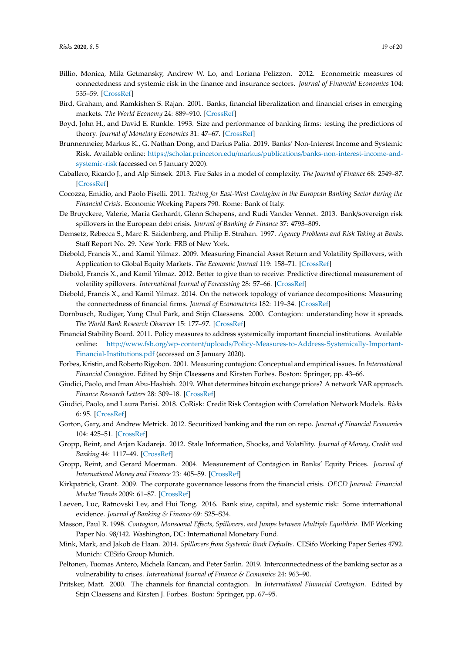- <span id="page-18-1"></span>Billio, Monica, Mila Getmansky, Andrew W. Lo, and Loriana Pelizzon. 2012. Econometric measures of connectedness and systemic risk in the finance and insurance sectors. *Journal of Financial Economics* 104: 535–59. [\[CrossRef\]](http://dx.doi.org/10.1016/j.jfineco.2011.12.010)
- <span id="page-18-9"></span>Bird, Graham, and Ramkishen S. Rajan. 2001. Banks, financial liberalization and financial crises in emerging markets. *The World Economy* 24: 889–910. [\[CrossRef\]](http://dx.doi.org/10.1111/1467-9701.00388)
- <span id="page-18-8"></span>Boyd, John H., and David E. Runkle. 1993. Size and performance of banking firms: testing the predictions of theory. *Journal of Monetary Economics* 31: 47–67. [\[CrossRef\]](http://dx.doi.org/10.1016/0304-3932(93)90016-9)
- <span id="page-18-22"></span>Brunnermeier, Markus K., G. Nathan Dong, and Darius Palia. 2019. Banks' Non-Interest Income and Systemic Risk. Available online: https://scholar.princeton.edu/markus/publications/[banks-non-interest-income-and](https://scholar.princeton.edu/markus/publications/banks-non-interest-income-and-systemic-risk)[systemic-risk](https://scholar.princeton.edu/markus/publications/banks-non-interest-income-and-systemic-risk) (accessed on 5 January 2020).
- <span id="page-18-18"></span>Caballero, Ricardo J., and Alp Simsek. 2013. Fire Sales in a model of complexity. *The Journal of Finance* 68: 2549–87. [\[CrossRef\]](http://dx.doi.org/10.1111/jofi.12087)
- <span id="page-18-20"></span>Cocozza, Emidio, and Paolo Piselli. 2011. *Testing for East-West Contagion in the European Banking Sector during the Financial Crisis*. Economic Working Papers 790. Rome: Bank of Italy.
- <span id="page-18-12"></span>De Bruyckere, Valerie, Maria Gerhardt, Glenn Schepens, and Rudi Vander Vennet. 2013. Bank/sovereign risk spillovers in the European debt crisis. *Journal of Banking & Finance* 37: 4793–809.
- <span id="page-18-7"></span>Demsetz, Rebecca S., Marc R. Saidenberg, and Philip E. Strahan. 1997. *Agency Problems and Risk Taking at Banks*. Staff Report No. 29. New York: FRB of New York.
- <span id="page-18-10"></span>Diebold, Francis X., and Kamil Yilmaz. 2009. Measuring Financial Asset Return and Volatility Spillovers, with Application to Global Equity Markets. *The Economic Journal* 119: 158–71. [\[CrossRef\]](http://dx.doi.org/10.1111/j.1468-0297.2008.02208.x)
- <span id="page-18-11"></span>Diebold, Francis X., and Kamil Yilmaz. 2012. Better to give than to receive: Predictive directional measurement of volatility spillovers. *International Journal of Forecasting* 28: 57–66. [\[CrossRef\]](http://dx.doi.org/10.1016/j.ijforecast.2011.02.006)
- <span id="page-18-14"></span>Diebold, Francis X., and Kamil Yilmaz. 2014. On the network topology of variance decompositions: Measuring the connectedness of financial firms. *Journal of Econometrics* 182: 119–34. [\[CrossRef\]](http://dx.doi.org/10.1016/j.jeconom.2014.04.012)
- <span id="page-18-3"></span>Dornbusch, Rudiger, Yung Chul Park, and Stijn Claessens. 2000. Contagion: understanding how it spreads. *The World Bank Research Observer* 15: 177–97. [\[CrossRef\]](http://dx.doi.org/10.1093/wbro/15.2.177)
- <span id="page-18-23"></span>Financial Stability Board. 2011. Policy measures to address systemically important financial institutions. Available online: http://www.fsb.org/wp-content/uploads/[Policy-Measures-to-Address-Systemically-Important-](http://www.fsb.org/wp-content/uploads/Policy-Measures-to-Address-Systemically-Important-Financial-Institutions.pdf)[Financial-Institutions.pdf](http://www.fsb.org/wp-content/uploads/Policy-Measures-to-Address-Systemically-Important-Financial-Institutions.pdf) (accessed on 5 January 2020).
- <span id="page-18-5"></span>Forbes, Kristin, and Roberto Rigobon. 2001. Measuring contagion: Conceptual and empirical issues. In *International Financial Contagion*. Edited by Stijn Claessens and Kirsten Forbes. Boston: Springer, pp. 43–66.
- <span id="page-18-15"></span>Giudici, Paolo, and Iman Abu-Hashish. 2019. What determines bitcoin exchange prices? A network VAR approach. *Finance Research Letters* 28: 309–18. [\[CrossRef\]](http://dx.doi.org/10.1016/j.frl.2018.05.013)
- <span id="page-18-13"></span>Giudici, Paolo, and Laura Parisi. 2018. CoRisk: Credit Risk Contagion with Correlation Network Models. *Risks* 6: 95. [\[CrossRef\]](http://dx.doi.org/10.3390/risks6030095)
- <span id="page-18-17"></span>Gorton, Gary, and Andrew Metrick. 2012. Securitized banking and the run on repo. *Journal of Financial Economies* 104: 425–51. [\[CrossRef\]](http://dx.doi.org/10.1016/j.jfineco.2011.03.016)
- <span id="page-18-19"></span>Gropp, Reint, and Arjan Kadareja. 2012. Stale Information, Shocks, and Volatility. *Journal of Money, Credit and Banking* 44: 1117–49. [\[CrossRef\]](http://dx.doi.org/10.1111/j.1538-4616.2012.00525.x)
- <span id="page-18-0"></span>Gropp, Reint, and Gerard Moerman. 2004. Measurement of Contagion in Banks' Equity Prices. *Journal of International Money and Finance* 23: 405–59. [\[CrossRef\]](http://dx.doi.org/10.1016/j.jimonfin.2004.01.005)
- <span id="page-18-6"></span>Kirkpatrick, Grant. 2009. The corporate governance lessons from the financial crisis. *OECD Journal: Financial Market Trends* 2009: 61–87. [\[CrossRef\]](http://dx.doi.org/10.1787/fmt-v2009-art3-en)
- <span id="page-18-21"></span>Laeven, Luc, Ratnovski Lev, and Hui Tong. 2016. Bank size, capital, and systemic risk: Some international evidence. *Journal of Banking & Finance* 69: S25–S34.
- <span id="page-18-4"></span>Masson, Paul R. 1998. *Contagion, Monsoonal E*ff*ects, Spillovers, and Jumps between Multiple Equilibria*. IMF Working Paper No. 98/142. Washington, DC: International Monetary Fund.
- <span id="page-18-24"></span>Mink, Mark, and Jakob de Haan. 2014. *Spillovers from Systemic Bank Defaults*. CESifo Working Paper Series 4792. Munich: CESifo Group Munich.
- <span id="page-18-16"></span>Peltonen, Tuomas Antero, Michela Rancan, and Peter Sarlin. 2019. Interconnectedness of the banking sector as a vulnerability to crises. *International Journal of Finance & Economics* 24: 963–90.
- <span id="page-18-2"></span>Pritsker, Matt. 2000. The channels for financial contagion. In *International Financial Contagion*. Edited by Stijn Claessens and Kirsten J. Forbes. Boston: Springer, pp. 67–95.